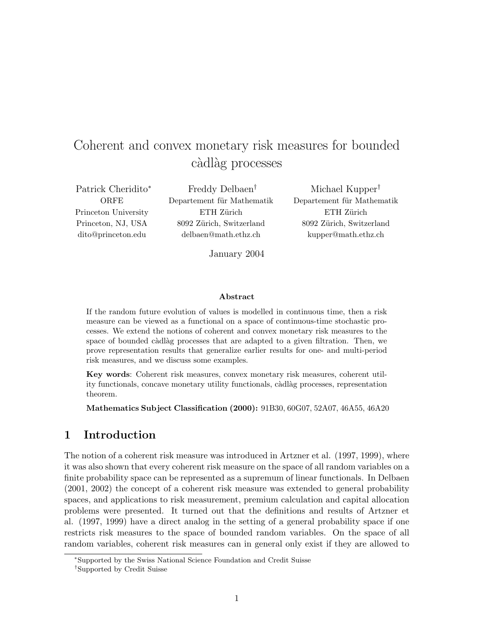# Coherent and convex monetary risk measures for bounded càdlàg processes

Patrick Cheridito<sup>∗</sup> **ORFE** Princeton University Princeton, NJ, USA dito@princeton.edu

Freddy Delbaen† Departement für Mathematik ETH Zürich 8092 Zürich, Switzerland delbaen@math.ethz.ch

Michael Kupper† Departement für Mathematik ETH Zürich 8092 Zürich, Switzerland kupper@math.ethz.ch

January 2004

#### Abstract

If the random future evolution of values is modelled in continuous time, then a risk measure can be viewed as a functional on a space of continuous-time stochastic processes. We extend the notions of coherent and convex monetary risk measures to the space of bounded càdlàg processes that are adapted to a given filtration. Then, we prove representation results that generalize earlier results for one- and multi-period risk measures, and we discuss some examples.

Key words: Coherent risk measures, convex monetary risk measures, coherent utility functionals, concave monetary utility functionals, càdlàg processes, representation theorem.

Mathematics Subject Classification (2000): 91B30, 60G07, 52A07, 46A55, 46A20

#### 1 Introduction

The notion of a coherent risk measure was introduced in Artzner et al. (1997, 1999), where it was also shown that every coherent risk measure on the space of all random variables on a finite probability space can be represented as a supremum of linear functionals. In Delbaen (2001, 2002) the concept of a coherent risk measure was extended to general probability spaces, and applications to risk measurement, premium calculation and capital allocation problems were presented. It turned out that the definitions and results of Artzner et al. (1997, 1999) have a direct analog in the setting of a general probability space if one restricts risk measures to the space of bounded random variables. On the space of all random variables, coherent risk measures can in general only exist if they are allowed to

<sup>∗</sup>Supported by the Swiss National Science Foundation and Credit Suisse

<sup>†</sup>Supported by Credit Suisse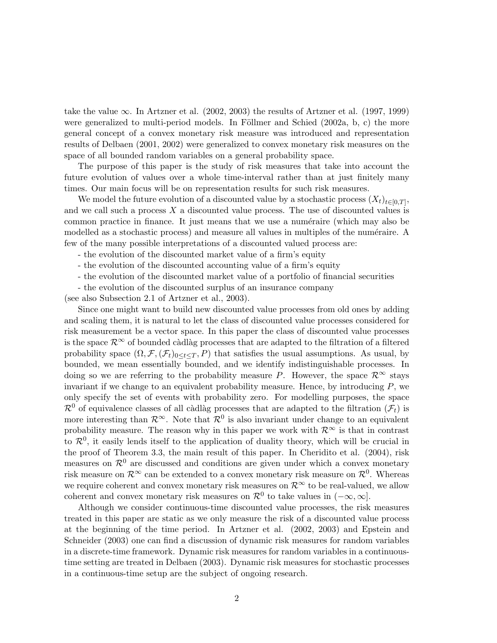take the value  $\infty$ . In Artzner et al. (2002, 2003) the results of Artzner et al. (1997, 1999) were generalized to multi-period models. In Föllmer and Schied  $(2002a, b, c)$  the more general concept of a convex monetary risk measure was introduced and representation results of Delbaen (2001, 2002) were generalized to convex monetary risk measures on the space of all bounded random variables on a general probability space.

The purpose of this paper is the study of risk measures that take into account the future evolution of values over a whole time-interval rather than at just finitely many times. Our main focus will be on representation results for such risk measures.

We model the future evolution of a discounted value by a stochastic process  $(X_t)_{t\in[0,T]},$ and we call such a process  $X$  a discounted value process. The use of discounted values is common practice in finance. It just means that we use a numéraire (which may also be modelled as a stochastic process) and measure all values in multiples of the numéraire. A few of the many possible interpretations of a discounted valued process are:

- the evolution of the discounted market value of a firm's equity

- the evolution of the discounted accounting value of a firm's equity
- the evolution of the discounted market value of a portfolio of financial securities

- the evolution of the discounted surplus of an insurance company

(see also Subsection 2.1 of Artzner et al., 2003).

Since one might want to build new discounted value processes from old ones by adding and scaling them, it is natural to let the class of discounted value processes considered for risk measurement be a vector space. In this paper the class of discounted value processes is the space  $\mathcal{R}^{\infty}$  of bounded càdlàg processes that are adapted to the filtration of a filtered probability space  $(\Omega, \mathcal{F}, (\mathcal{F}_t)_{0\leq t\leq T}, P)$  that satisfies the usual assumptions. As usual, by bounded, we mean essentially bounded, and we identify indistinguishable processes. In doing so we are referring to the probability measure P. However, the space  $\mathcal{R}^{\infty}$  stays invariant if we change to an equivalent probability measure. Hence, by introducing  $P$ , we only specify the set of events with probability zero. For modelling purposes, the space  $\mathcal{R}^0$  of equivalence classes of all càdlàg processes that are adapted to the filtration  $(\mathcal{F}_t)$  is more interesting than  $\mathcal{R}^{\infty}$ . Note that  $\mathcal{R}^{0}$  is also invariant under change to an equivalent probability measure. The reason why in this paper we work with  $\mathcal{R}^{\infty}$  is that in contrast to  $\mathcal{R}^0$ , it easily lends itself to the application of duality theory, which will be crucial in the proof of Theorem 3.3, the main result of this paper. In Cheridito et al. (2004), risk measures on  $\mathcal{R}^0$  are discussed and conditions are given under which a convex monetary risk measure on  $\mathcal{R}^{\infty}$  can be extended to a convex monetary risk measure on  $\mathcal{R}^{0}$ . Whereas we require coherent and convex monetary risk measures on  $\mathcal{R}^{\infty}$  to be real-valued, we allow coherent and convex monetary risk measures on  $\mathcal{R}^0$  to take values in  $(-\infty, \infty]$ .

Although we consider continuous-time discounted value processes, the risk measures treated in this paper are static as we only measure the risk of a discounted value process at the beginning of the time period. In Artzner et al. (2002, 2003) and Epstein and Schneider (2003) one can find a discussion of dynamic risk measures for random variables in a discrete-time framework. Dynamic risk measures for random variables in a continuoustime setting are treated in Delbaen (2003). Dynamic risk measures for stochastic processes in a continuous-time setup are the subject of ongoing research.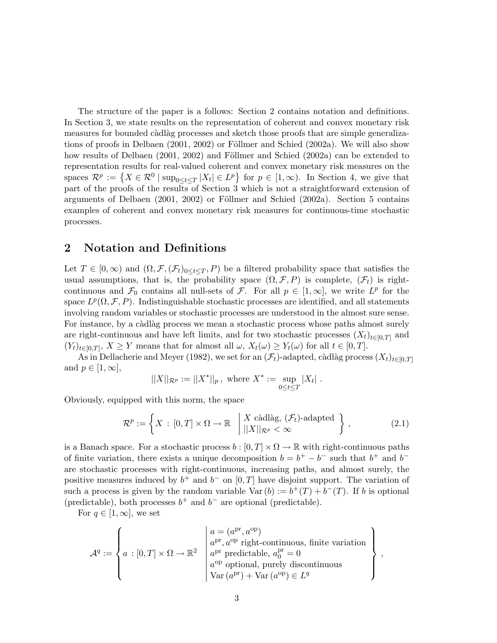The structure of the paper is a follows: Section 2 contains notation and definitions. In Section 3, we state results on the representation of coherent and convex monetary risk measures for bounded càdlàg processes and sketch those proofs that are simple generalizations of proofs in Delbaen  $(2001, 2002)$  or Föllmer and Schied  $(2002a)$ . We will also show how results of Delbaen (2001, 2002) and Föllmer and Schied (2002a) can be extended to representation results for real-valued coherent and convex monetary risk measures on the representation results for real-valued conerent and convex monetary risk measures on the<br>spaces  $\mathcal{R}^p := \{ X \in \mathcal{R}^0 \mid \sup_{0 \le t \le T} |X_t| \in L^p \}$  for  $p \in [1, \infty)$ . In Section 4, we give that part of the proofs of the results of Section 3 which is not a straightforward extension of arguments of Delbaen  $(2001, 2002)$  or Föllmer and Schied  $(2002a)$ . Section 5 contains examples of coherent and convex monetary risk measures for continuous-time stochastic processes.

#### 2 Notation and Definitions

Let  $T \in [0,\infty)$  and  $(\Omega,\mathcal{F},(\mathcal{F}_t)_{0\leq t\leq T},P)$  be a filtered probability space that satisfies the usual assumptions, that is, the probability space  $(\Omega, \mathcal{F}, P)$  is complete,  $(\mathcal{F}_t)$  is rightcontinuous and  $\mathcal{F}_0$  contains all null-sets of  $\mathcal{F}$ . For all  $p \in [1,\infty]$ , we write  $L^p$  for the space  $L^p(\Omega, \mathcal{F}, P)$ . Indistinguishable stochastic processes are identified, and all statements involving random variables or stochastic processes are understood in the almost sure sense. For instance, by a càdlàg process we mean a stochastic process whose paths almost surely are right-continuous and have left limits, and for two stochastic processes  $(X_t)_{t\in[0,T]}$  and  $(Y_t)_{t\in[0,T]}, X \geq Y$  means that for almost all  $\omega$ ,  $X_t(\omega) \geq Y_t(\omega)$  for all  $t \in [0,T]$ .

As in Dellacherie and Meyer (1982), we set for an  $(\mathcal{F}_t)$ -adapted, càdlàg process  $(X_t)_{t\in[0,T]}$ and  $p \in [1,\infty],$ 

$$
||X||_{\mathcal{R}^p} := ||X^*||_p, \text{ where } X^* := \sup_{0 \le t \le T} |X_t|.
$$

Obviously, equipped with this norm, the space

$$
\mathcal{R}^p := \left\{ X \,:\, [0,T] \times \Omega \to \mathbb{R} \,|\, \begin{array}{l} X \text{ c\`adl\`ag, } (\mathcal{F}_t) \text{-adapted} \\ ||X||_{\mathcal{R}^p} < \infty \end{array} \right\} ,\tag{2.1}
$$

is a Banach space. For a stochastic process  $b : [0, T] \times \Omega \to \mathbb{R}$  with right-continuous paths of finite variation, there exists a unique decomposition  $b = b^+ - b^-$  such that  $b^+$  and  $b^$ are stochastic processes with right-continuous, increasing paths, and almost surely, the positive measures induced by  $b^+$  and  $b^-$  on  $[0, T]$  have disjoint support. The variation of such a process is given by the random variable  $Var(b) := b^{+}(T) + b^{-}(T)$ . If b is optional (predictable), both processes  $b^+$  and  $b^-$  are optional (predictable).

For  $q \in [1,\infty]$ , we set

$$
\mathcal{A}^{q} := \left\{ a : [0, T] \times \Omega \to \mathbb{R}^{2} \middle| \begin{array}{l} a = (a^{\mathrm{pr}}, a^{\mathrm{op}}) \\ a^{\mathrm{pr}}, a^{\mathrm{op}} \text{ right-continuous, finite variation} \\ a^{\mathrm{pr}} \text{ predictable}, a_{0}^{\mathrm{pr}} = 0 \\ a^{\mathrm{op}} \text{ optional, purely discontinuous} \\ \text{Var}(a^{\mathrm{pr}}) + \text{Var}(a^{\mathrm{op}}) \in L^{q} \end{array} \right\},
$$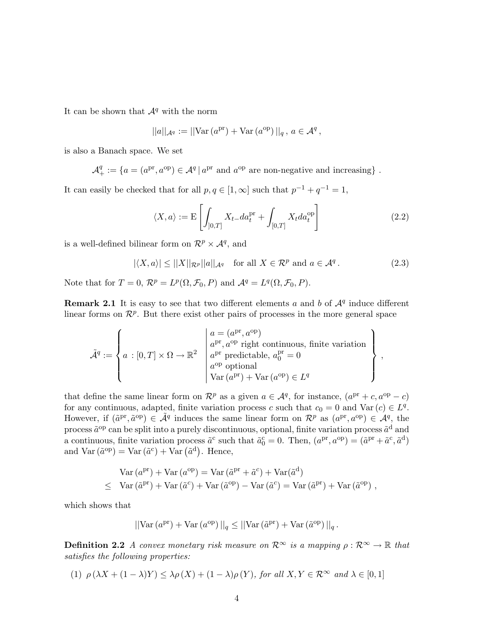It can be shown that  $\mathcal{A}^q$  with the norm

$$
||a||_{\mathcal{A}^q} := ||\text{Var}\left(a^{\text{pr}}\right) + \text{Var}\left(a^{\text{op}}\right)||_q, \, a \in \mathcal{A}^q,
$$

is also a Banach space. We set

 $\mathcal{A}^q_+ := \{a = (a^{\text{pr}}, a^{\text{op}}) \in \mathcal{A}^q \, | \, a^{\text{pr}} \text{ and } a^{\text{op}} \text{ are non-negative and increasing}\}$ .

It can easily be checked that for all  $p, q \in [1, \infty]$  such that  $p^{-1} + q^{-1} = 1$ ,

$$
\langle X, a \rangle := \mathcal{E}\left[\int_{]0,T]} X_{t-} da_t^{pr} + \int_{[0,T]} X_t da_t^{op}\right]
$$
\n(2.2)

is a well-defined bilinear form on  $\mathcal{R}^p \times \mathcal{A}^q$ , and

$$
|\langle X, a \rangle| \le ||X||_{\mathcal{R}^p} ||a||_{\mathcal{A}^q} \quad \text{for all } X \in \mathcal{R}^p \text{ and } a \in \mathcal{A}^q. \tag{2.3}
$$

Note that for  $T = 0$ ,  $\mathcal{R}^p = L^p(\Omega, \mathcal{F}_0, P)$  and  $\mathcal{A}^q = L^q(\Omega, \mathcal{F}_0, P)$ .

**Remark 2.1** It is easy to see that two different elements a and b of  $\mathcal{A}^q$  induce different linear forms on  $\mathcal{R}^p$ . But there exist other pairs of processes in the more general space

$$
\tilde{\mathcal{A}}^q := \left\{ a : [0,T] \times \Omega \to \mathbb{R}^2 \middle| \begin{array}{l} a = (a^{\mathrm{pr}}, a^{\mathrm{op}}) \\ a^{\mathrm{pr}}, a^{\mathrm{op}} \text{ right continuous, finite variation} \\ a^{\mathrm{pr}} \text{ predictable}, a_0^{\mathrm{pr}} = 0 \\ a^{\mathrm{op}} \text{ optional} \\ \text{Var}(a^{\mathrm{pr}}) + \text{Var}(a^{\mathrm{op}}) \in L^q \end{array} \right\},
$$

that define the same linear form on  $\mathcal{R}^p$  as a given  $a \in \mathcal{A}^q$ , for instance,  $(a^{\text{pr}} + c, a^{\text{op}} - c)$ for any continuous, adapted, finite variation process c such that  $c_0 = 0$  and  $Var(c) \in L^q$ . However, if  $(\tilde{a}^{\text{pr}}, \tilde{a}^{\text{op}}) \in \tilde{\mathcal{A}}^q$  induces the same linear form on  $\mathcal{R}^p$  as  $(a^{\text{pr}}, a^{\text{op}}) \in \tilde{\mathcal{A}}^q$ , the process  $\tilde{a}^{op}$  can be split into a purely discontinuous, optional, finite variation process  $\tilde{a}^d$  and a continuous, finite variation process  $\tilde{a}^c$  such that  $\tilde{a}^c_0 = 0$ . Then,  $(a^{pr}, a^{op}) = (\tilde{a}^{pr} + \tilde{a}^c, \tilde{a}^d)$ a continuous, innte variation process  $a^2$  such<br>and  $\text{Var}\left(\tilde{a}^{\text{op}}\right) = \text{Var}\left(\tilde{a}^{\text{c}}\right) + \text{Var}\left(\tilde{a}^{\text{d}}\right)$ . Hence,

$$
Var (a^{pr}) + Var (a^{op}) = Var (\tilde{a}^{pr} + \tilde{a}^c) + Var(\tilde{a}^d)
$$
  
 
$$
\leq Var (\tilde{a}^{pr}) + Var (\tilde{a}^c) + Var (\tilde{a}^{op}) - Var (\tilde{a}^c) = Var (\tilde{a}^{pr}) + Var (\tilde{a}^{op}),
$$

which shows that

$$
||\text{Var}\left(a^{\text{pr}}\right) + \text{Var}\left(a^{\text{op}}\right)||_q \leq ||\text{Var}\left(\tilde{a}^{\text{pr}}\right) + \text{Var}\left(\tilde{a}^{\text{op}}\right)||_q.
$$

**Definition 2.2** A convex monetary risk measure on  $\mathcal{R}^{\infty}$  is a mapping  $\rho : \mathcal{R}^{\infty} \to \mathbb{R}$  that satisfies the following properties:

$$
(1) \ \rho\left(\lambda X + (1-\lambda)Y\right) \leq \lambda \rho\left(X\right) + (1-\lambda)\rho\left(Y\right), \text{ for all } X,Y \in \mathcal{R}^{\infty} \text{ and } \lambda \in [0,1]
$$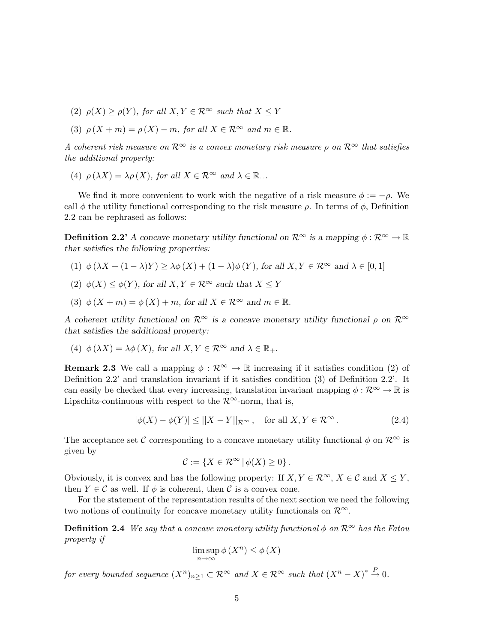- (2)  $\rho(X) \ge \rho(Y)$ , for all  $X, Y \in \mathbb{R}^{\infty}$  such that  $X \le Y$
- (3)  $\rho(X + m) = \rho(X) m$ , for all  $X \in \mathbb{R}^{\infty}$  and  $m \in \mathbb{R}$ .

A coherent risk measure on  $\mathcal{R}^{\infty}$  is a convex monetary risk measure  $\rho$  on  $\mathcal{R}^{\infty}$  that satisfies the additional property:

(4)  $\rho(\lambda X) = \lambda \rho(X)$ , for all  $X \in \mathbb{R}^{\infty}$  and  $\lambda \in \mathbb{R}_+$ .

We find it more convenient to work with the negative of a risk measure  $\phi := -\rho$ . We call  $\phi$  the utility functional corresponding to the risk measure  $\rho$ . In terms of  $\phi$ , Definition 2.2 can be rephrased as follows:

**Definition 2.2'** A concave monetary utility functional on  $\mathcal{R}^{\infty}$  is a mapping  $\phi : \mathcal{R}^{\infty} \to \mathbb{R}$ that satisfies the following properties:

- (1)  $\phi(\lambda X + (1 \lambda)Y) \ge \lambda \phi(X) + (1 \lambda) \phi(Y)$ , for all  $X, Y \in \mathbb{R}^{\infty}$  and  $\lambda \in [0, 1]$
- (2)  $\phi(X) \leq \phi(Y)$ , for all  $X, Y \in \mathcal{R}^{\infty}$  such that  $X \leq Y$
- (3)  $\phi(X + m) = \phi(X) + m$ , for all  $X \in \mathbb{R}^{\infty}$  and  $m \in \mathbb{R}$ .

A coherent utility functional on  $\mathcal{R}^{\infty}$  is a concave monetary utility functional  $\rho$  on  $\mathcal{R}^{\infty}$ that satisfies the additional property:

(4) 
$$
\phi(\lambda X) = \lambda \phi(X)
$$
, for all  $X, Y \in \mathbb{R}^{\infty}$  and  $\lambda \in \mathbb{R}_+$ .

**Remark 2.3** We call a mapping  $\phi : \mathbb{R}^{\infty} \to \mathbb{R}$  increasing if it satisfies condition (2) of Definition 2.2' and translation invariant if it satisfies condition (3) of Definition 2.2'. It can easily be checked that every increasing, translation invariant mapping  $\phi : \mathcal{R}^{\infty} \to \mathbb{R}$  is Lipschitz-continuous with respect to the  $\mathcal{R}^{\infty}$ -norm, that is,

$$
|\phi(X) - \phi(Y)| \le ||X - Y||_{\mathcal{R}^{\infty}}, \quad \text{for all } X, Y \in \mathcal{R}^{\infty}.
$$
 (2.4)

The acceptance set C corresponding to a concave monetary utility functional  $\phi$  on  $\mathcal{R}^{\infty}$  is given by

$$
\mathcal{C} := \{ X \in \mathcal{R}^{\infty} \, | \, \phi(X) \geq 0 \} \, .
$$

Obviously, it is convex and has the following property: If  $X, Y \in \mathcal{R}^{\infty}$ ,  $X \in \mathcal{C}$  and  $X \leq Y$ , then  $Y \in \mathcal{C}$  as well. If  $\phi$  is coherent, then  $\mathcal{C}$  is a convex cone.

For the statement of the representation results of the next section we need the following two notions of continuity for concave monetary utility functionals on  $\mathcal{R}^{\infty}$ .

**Definition 2.4** We say that a concave monetary utility functional  $\phi$  on  $\mathcal{R}^{\infty}$  has the Fatou property if

$$
\limsup_{n \to \infty} \phi(X^n) \le \phi(X)
$$

for every bounded sequence  $(X^n)_{n\geq 1}\subset \mathcal{R}^\infty$  and  $X\in \mathcal{R}^\infty$  such that  $(X^n-X)^*\stackrel{P}{\to} 0$ .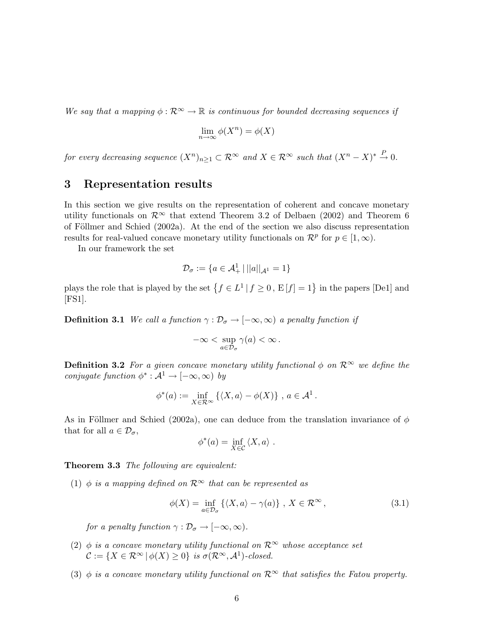We say that a mapping  $\phi : \mathbb{R}^{\infty} \to \mathbb{R}$  is continuous for bounded decreasing sequences if

$$
\lim_{n \to \infty} \phi(X^n) = \phi(X)
$$

for every decreasing sequence  $(X^n)_{n\geq 1} \subset \mathcal{R}^\infty$  and  $X \in \mathcal{R}^\infty$  such that  $(X^n - X)^* \stackrel{P}{\to} 0$ .

#### 3 Representation results

In this section we give results on the representation of coherent and concave monetary utility functionals on  $\mathcal{R}^{\infty}$  that extend Theorem 3.2 of Delbaen (2002) and Theorem 6 of Föllmer and Schied  $(2002a)$ . At the end of the section we also discuss representation results for real-valued concave monetary utility functionals on  $\mathcal{R}^p$  for  $p \in [1,\infty)$ .

In our framework the set

$$
\mathcal{D}_\sigma:=\{a\in\mathcal{A}^1_+\,|\,||a||_{\mathcal{A}^1}=1\}
$$

plays the role that is played by the set  $\{f \in L^1 | f \geq 0, E[f] = 1\}$  in the papers [De1] and [FS1].

**Definition 3.1** We call a function  $\gamma : \mathcal{D}_{\sigma} \to [-\infty, \infty)$  a penalty function if

$$
-\infty<\sup_{a\in\mathcal{D}_\sigma}\gamma(a)<\infty\,.
$$

**Definition 3.2** For a given concave monetary utility functional  $\phi$  on  $\mathcal{R}^{\infty}$  we define the conjugate function  $\phi^*: A^1 \to [-\infty, \infty)$  by

$$
\phi^*(a) := \inf_{X \in \mathcal{R}^{\infty}} \left\{ \langle X, a \rangle - \phi(X) \right\}, a \in \mathcal{A}^1.
$$

As in Föllmer and Schied (2002a), one can deduce from the translation invariance of  $\phi$ that for all  $a \in \mathcal{D}_{\sigma}$ ,

$$
\phi^*(a) = \inf_{X \in \mathcal{C}} \langle X, a \rangle.
$$

Theorem 3.3 The following are equivalent:

(1)  $\phi$  is a mapping defined on  $\mathcal{R}^{\infty}$  that can be represented as

$$
\phi(X) = \inf_{a \in \mathcal{D}_{\sigma}} \left\{ \langle X, a \rangle - \gamma(a) \right\}, \ X \in \mathcal{R}^{\infty}, \tag{3.1}
$$

for a penalty function  $\gamma : \mathcal{D}_{\sigma} \to [-\infty, \infty)$ .

- (2)  $\phi$  is a concave monetary utility functional on  $\mathcal{R}^{\infty}$  whose acceptance set  $\mathcal{C} := \{ X \in \mathcal{R}^{\infty} \mid \phi(X) \geq 0 \}$  is  $\sigma(\mathcal{R}^{\infty}, \mathcal{A}^{1})$ -closed.
- (3)  $\phi$  is a concave monetary utility functional on  $\mathcal{R}^{\infty}$  that satisfies the Fatou property.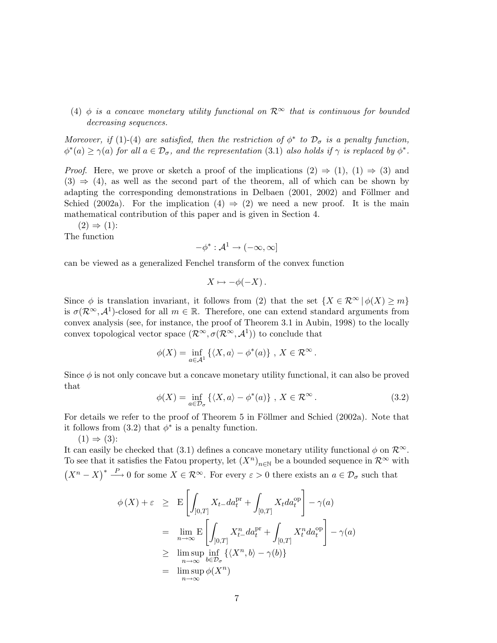(4)  $\phi$  is a concave monetary utility functional on  $\mathcal{R}^{\infty}$  that is continuous for bounded decreasing sequences.

Moreover, if (1)-(4) are satisfied, then the restriction of  $\phi^*$  to  $\mathcal{D}_{\sigma}$  is a penalty function,  $\phi^*(a) \geq \gamma(a)$  for all  $a \in \mathcal{D}_{\sigma}$ , and the representation (3.1) also holds if  $\gamma$  is replaced by  $\phi^*$ .

*Proof.* Here, we prove or sketch a proof of the implications  $(2) \Rightarrow (1)$ ,  $(1) \Rightarrow (3)$  and  $(3) \Rightarrow (4)$ , as well as the second part of the theorem, all of which can be shown by adapting the corresponding demonstrations in Delbaen (2001, 2002) and Föllmer and Schied (2002a). For the implication (4)  $\Rightarrow$  (2) we need a new proof. It is the main mathematical contribution of this paper and is given in Section 4.

 $(2) \Rightarrow (1)$ :

The function

$$
-\phi^*: \mathcal{A}^1 \to (-\infty, \infty]
$$

can be viewed as a generalized Fenchel transform of the convex function

$$
X \mapsto -\phi(-X) \, .
$$

Since  $\phi$  is translation invariant, it follows from (2) that the set  $\{X \in \mathcal{R}^{\infty} \mid \phi(X) \geq m\}$ is  $\sigma(\mathcal{R}^{\infty}, \mathcal{A}^{1})$ -closed for all  $m \in \mathbb{R}$ . Therefore, one can extend standard arguments from convex analysis (see, for instance, the proof of Theorem 3.1 in Aubin, 1998) to the locally convex topological vector space  $(\mathcal{R}^{\infty}, \sigma(\mathcal{R}^{\infty}, \mathcal{A}^{\mathbb{1}}))$  to conclude that

$$
\phi(X) = \inf_{a \in \mathcal{A}^1} \left\{ \langle X, a \rangle - \phi^*(a) \right\}, X \in \mathcal{R}^{\infty}.
$$

Since  $\phi$  is not only concave but a concave monetary utility functional, it can also be proved that

$$
\phi(X) = \inf_{a \in \mathcal{D}_{\sigma}} \left\{ \langle X, a \rangle - \phi^*(a) \right\}, \ X \in \mathcal{R}^{\infty}.
$$
 (3.2)

For details we refer to the proof of Theorem 5 in Föllmer and Schied  $(2002a)$ . Note that it follows from  $(3.2)$  that  $\phi^*$  is a penalty function.

 $(1) \Rightarrow (3)$ :

It can easily be checked that (3.1) defines a concave monetary utility functional  $\phi$  on  $\mathcal{R}^{\infty}$ . To see that it satisfies the Fatou property, let  $(X^n)_{n\in\mathbb{N}}$  be a bounded sequence in  $\mathcal{R}^{\infty}$  with  $(X<sup>n</sup> - X)<sup>*</sup> \xrightarrow{P} 0$  for some  $X \in \mathcal{R}^{\infty}$ . For every  $\varepsilon > 0$  there exists an  $a \in \mathcal{D}_{\sigma}$  such that

$$
\phi(X) + \varepsilon \geq \mathbb{E}\left[\int_{]0,T]} X_{t-}da_{t}^{pr} + \int_{[0,T]} X_{t}da_{t}^{op}\right] - \gamma(a)
$$
  
\n
$$
= \lim_{n \to \infty} \mathbb{E}\left[\int_{]0,T]} X_{t-}^{n}da_{t}^{pr} + \int_{[0,T]} X_{t}^{n}da_{t}^{op}\right] - \gamma(a)
$$
  
\n
$$
\geq \limsup_{n \to \infty} \inf_{b \in \mathcal{D}_{\sigma}} \{ \langle X^{n}, b \rangle - \gamma(b) \}
$$
  
\n
$$
= \limsup_{n \to \infty} \phi(X^{n})
$$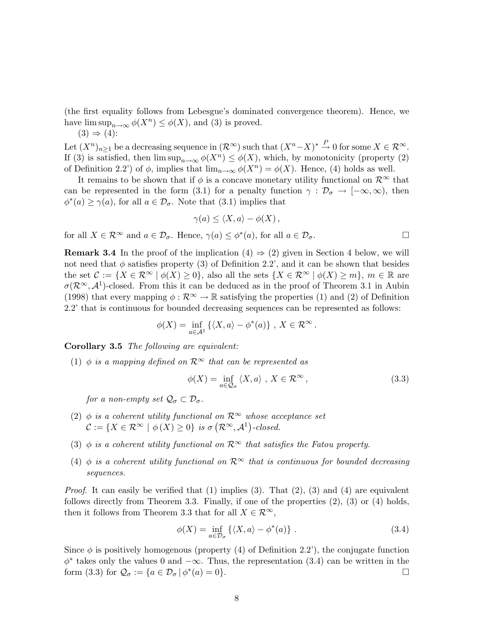(the first equality follows from Lebesgue's dominated convergence theorem). Hence, we have  $\limsup_{n\to\infty}\phi(X^n)\leq\phi(X)$ , and (3) is proved.

$$
(3) \Rightarrow (4)
$$
:

Let  $(X^n)_{n\geq 1}$  be a decreasing sequence in  $(\mathcal{R}^{\infty})$  such that  $(X^n - X)^* \stackrel{P}{\to} 0$  for some  $X \in \mathcal{R}^{\infty}$ . If (3) is satisfied, then  $\limsup_{n\to\infty}\phi(X^n)\leq \phi(X)$ , which, by monotonicity (property (2) of Definition 2.2') of  $\phi$ , implies that  $\lim_{n\to\infty}\phi(X^n)=\phi(X)$ . Hence, (4) holds as well.

It remains to be shown that if  $\phi$  is a concave monetary utility functional on  $\mathcal{R}^{\infty}$  that can be represented in the form (3.1) for a penalty function  $\gamma : \mathcal{D}_{\sigma} \to [-\infty, \infty)$ , then  $\phi^*(a) \geq \gamma(a)$ , for all  $a \in \mathcal{D}_{\sigma}$ . Note that (3.1) implies that

$$
\gamma(a) \leq \langle X, a \rangle - \phi(X) \,,
$$

for all  $X \in \mathcal{R}^{\infty}$  and  $a \in \mathcal{D}_{\sigma}$ . Hence,  $\gamma(a) \leq \phi^*(a)$ , for all  $a \in \mathcal{D}_{\sigma}$ .

**Remark 3.4** In the proof of the implication  $(4) \Rightarrow (2)$  given in Section 4 below, we will not need that  $\phi$  satisfies property (3) of Definition 2.2', and it can be shown that besides the set  $\mathcal{C} := \{X \in \mathcal{R}^{\infty} \mid \phi(X) \geq 0\}$ , also all the sets  $\{X \in \mathcal{R}^{\infty} \mid \phi(X) \geq m\}$ ,  $m \in \mathbb{R}$  are  $\sigma(\mathcal{R}^{\infty}, \mathcal{A}^{1})$ -closed. From this it can be deduced as in the proof of Theorem 3.1 in Aubin (1998) that every mapping  $\phi : \mathcal{R}^{\infty} \to \mathbb{R}$  satisfying the properties (1) and (2) of Definition 2.2' that is continuous for bounded decreasing sequences can be represented as follows:

$$
\phi(X) = \inf_{a \in \mathcal{A}^1} \left\{ \langle X, a \rangle - \phi^*(a) \right\}, \ X \in \mathcal{R}^{\infty}.
$$

Corollary 3.5 The following are equivalent:

(1)  $\phi$  is a mapping defined on  $\mathcal{R}^{\infty}$  that can be represented as

$$
\phi(X) = \inf_{a \in \mathcal{Q}_{\sigma}} \langle X, a \rangle, X \in \mathcal{R}^{\infty},
$$
\n(3.3)

for a non-empty set  $\mathcal{Q}_{\sigma} \subset \mathcal{D}_{\sigma}$ .

- (2)  $\phi$  is a coherent utility functional on  $\mathcal{R}^{\infty}$  whose acceptance set  $\mathcal{C} := \{ X \in \mathcal{R}^{\infty} \mid \phi(X) \geq 0 \}$  is  $\sigma(\mathcal{R}^{\infty}, \mathcal{A}^1)$ -closed.
- (3)  $\phi$  is a coherent utility functional on  $\mathcal{R}^{\infty}$  that satisfies the Fatou property.
- (4)  $\phi$  is a coherent utility functional on  $\mathcal{R}^{\infty}$  that is continuous for bounded decreasing sequences.

*Proof.* It can easily be verified that  $(1)$  implies  $(3)$ . That  $(2)$ ,  $(3)$  and  $(4)$  are equivalent follows directly from Theorem 3.3. Finally, if one of the properties (2), (3) or (4) holds, then it follows from Theorem 3.3 that for all  $X \in \mathcal{R}^{\infty}$ ,

$$
\phi(X) = \inf_{a \in \mathcal{D}_{\sigma}} \left\{ \langle X, a \rangle - \phi^*(a) \right\}. \tag{3.4}
$$

Since  $\phi$  is positively homogenous (property (4) of Definition 2.2'), the conjugate function  $\phi^*$  takes only the values 0 and  $-\infty$ . Thus, the representation (3.4) can be written in the form (3.3) for  $\mathcal{Q}_{\sigma} := \{a \in \mathcal{D}_{\sigma} | \phi^*(a) = 0\}.$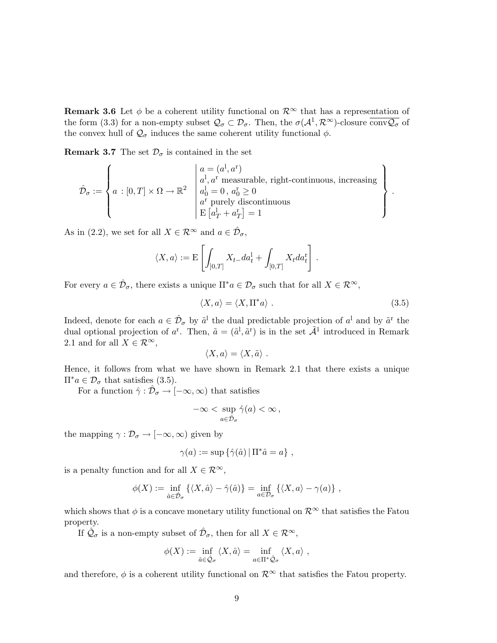**Remark 3.6** Let  $\phi$  be a coherent utility functional on  $\mathcal{R}^{\infty}$  that has a representation of the form (3.3) for a non-empty subset  $\mathcal{Q}_{\sigma} \subset \mathcal{D}_{\sigma}$ . Then, the  $\sigma(\mathcal{A}^1, \mathcal{R}^{\infty})$ -closure  $\overline{\text{conv} \mathcal{Q}_{\sigma}}$  of the convex hull of  $\mathcal{Q}_{\sigma}$  induces the same coherent utility functional  $\phi$ .

**Remark 3.7** The set  $\mathcal{D}_{\sigma}$  is contained in the set

$$
\hat{\mathcal{D}}_{\sigma} := \left\{ a : [0, T] \times \Omega \to \mathbb{R}^2 \; \begin{array}{l} \left| \begin{array}{l} a = (a^{\textrm{I}}, a^{\textrm{r}}) \\ a^{\textrm{I}}, a^{\textrm{r}} \; \textrm{measurable, right-continuous, increasing} \\ a^{\textrm{I}}_0 = 0 \; , \; a^{\textrm{r}}_0 \geq 0 \\ a^{\textrm{r}} \; \textrm{purely discontinuous} \\ \textrm{E} \left[ a^{\textrm{I}}_T + a^{\textrm{r}}_T \right] = 1 \end{array} \right. \end{array} \right\} \, .
$$

As in (2.2), we set for all  $X \in \mathcal{R}^{\infty}$  and  $a \in \hat{\mathcal{D}}_{\sigma}$ ,

$$
\langle X, a \rangle := \mathbf{E}\left[\int_{]0,T]} X_{t-} da_t^1 + \int_{[0,T]} X_t da_t^r\right].
$$

For every  $a \in \hat{\mathcal{D}}_{\sigma}$ , there exists a unique  $\Pi^* a \in \mathcal{D}_{\sigma}$  such that for all  $X \in \mathcal{R}^{\infty}$ ,

$$
\langle X, a \rangle = \langle X, \Pi^* a \rangle . \tag{3.5}
$$

Indeed, denote for each  $a \in \hat{\mathcal{D}}_{\sigma}$  by  $\tilde{a}^{1}$  the dual predictable projection of  $a^{1}$  and by  $\tilde{a}^{r}$  the dual optional projection of a<sup>r</sup>. Then,  $\tilde{a} = (\tilde{a}^l, \tilde{a}^r)$  is in the set  $\tilde{\mathcal{A}}^1$  introduced in Remark 2.1 and for all  $X \in \mathcal{R}^{\infty}$ ,

$$
\langle X, a \rangle = \langle X, \tilde{a} \rangle \ .
$$

Hence, it follows from what we have shown in Remark 2.1 that there exists a unique  $\Pi^*a \in \mathcal{D}_{\sigma}$  that satisfies (3.5).

For a function  $\hat{\gamma} : \hat{\mathcal{D}}_{\sigma} \to [-\infty, \infty)$  that satisfies

$$
-\infty < \sup_{a \in \hat{\mathcal{D}}_{\sigma}} \hat{\gamma}(a) < \infty \,,
$$

the mapping  $\gamma : \mathcal{D}_{\sigma} \to [-\infty, \infty)$  given by

$$
\gamma(a) := \sup \{ \hat{\gamma}(\hat{a}) \, | \, \Pi^* \hat{a} = a \},
$$

is a penalty function and for all  $X \in \mathcal{R}^{\infty}$ ,

$$
\phi(X) := \inf_{\hat{a} \in \hat{\mathcal{D}}_{\sigma}} \{ \langle X, \hat{a} \rangle - \hat{\gamma}(\hat{a}) \} = \inf_{a \in \mathcal{D}_{\sigma}} \{ \langle X, a \rangle - \gamma(a) \},
$$

which shows that  $\phi$  is a concave monetary utility functional on  $\mathcal{R}^{\infty}$  that satisfies the Fatou property.

If  $\hat{\mathcal{Q}}_{\sigma}$  is a non-empty subset of  $\hat{\mathcal{D}}_{\sigma}$ , then for all  $X \in \mathcal{R}^{\infty}$ ,

$$
\phi(X) := \inf_{\hat{a} \in \hat{\mathcal{Q}}_{\sigma}} \langle X, \hat{a} \rangle = \inf_{a \in \Pi^* \hat{\mathcal{Q}}_{\sigma}} \langle X, a \rangle ,
$$

and therefore,  $\phi$  is a coherent utility functional on  $\mathcal{R}^{\infty}$  that satisfies the Fatou property.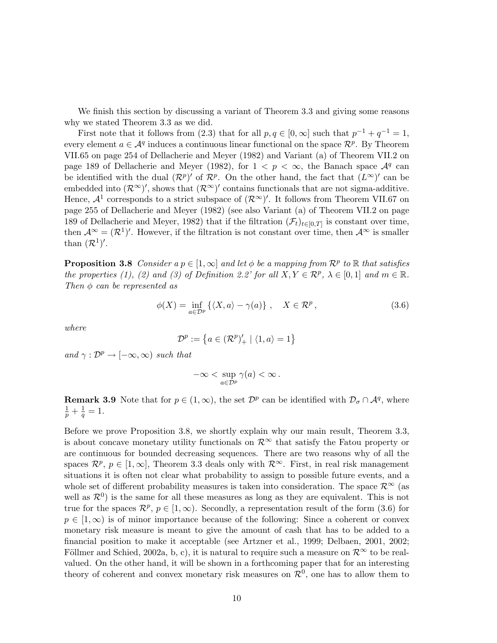We finish this section by discussing a variant of Theorem 3.3 and giving some reasons why we stated Theorem 3.3 as we did.

First note that it follows from (2.3) that for all  $p, q \in [0, \infty]$  such that  $p^{-1} + q^{-1} = 1$ , every element  $a \in \mathcal{A}^q$  induces a continuous linear functional on the space  $\mathcal{R}^p$ . By Theorem VII.65 on page 254 of Dellacherie and Meyer (1982) and Variant (a) of Theorem VII.2 on page 189 of Dellacherie and Meyer (1982), for  $1 < p < \infty$ , the Banach space  $\mathcal{A}^q$  can be identified with the dual  $(\mathcal{R}^p)'$  of  $\mathcal{R}^p$ . On the other hand, the fact that  $(L^{\infty})'$  can be embedded into  $(\mathcal{R}^{\infty})'$ , shows that  $(\mathcal{R}^{\infty})'$  contains functionals that are not sigma-additive. Hence,  $\mathcal{A}^1$  corresponds to a strict subspace of  $(\mathcal{R}^{\infty})'$ . It follows from Theorem VII.67 on page 255 of Dellacherie and Meyer (1982) (see also Variant (a) of Theorem VII.2 on page 189 of Dellacherie and Meyer, 1982) that if the filtration  $(\mathcal{F}_t)_{t\in[0,T]}$  is constant over time, then  $\mathcal{A}^{\infty} = (\mathcal{R}^1)'$ . However, if the filtration is not constant over time, then  $\mathcal{A}^{\infty}$  is smaller than  $(\mathcal{R}^1)'$ .

**Proposition 3.8** Consider  $a p \in [1, \infty]$  and let  $\phi$  be a mapping from  $\mathcal{R}^p$  to  $\mathbb R$  that satisfies the properties (1), (2) and (3) of Definition 2.2' for all  $X, Y \in \mathbb{R}^p$ ,  $\lambda \in [0,1]$  and  $m \in \mathbb{R}$ . Then  $\phi$  can be represented as

$$
\phi(X) = \inf_{a \in \mathcal{D}^p} \left\{ \langle X, a \rangle - \gamma(a) \right\}, \quad X \in \mathcal{R}^p, \tag{3.6}
$$

where

$$
\mathcal{D}^p := \left\{ a \in (\mathcal{R}^p)'_+ \mid \langle 1, a \rangle = 1 \right\}
$$

and  $\gamma : \mathcal{D}^p \to [-\infty, \infty)$  such that

$$
-\infty < \sup_{a \in \mathcal{D}^p} \gamma(a) < \infty \, .
$$

**Remark 3.9** Note that for  $p \in (1,\infty)$ , the set  $\mathcal{D}^p$  can be identified with  $\mathcal{D}_{\sigma} \cap \mathcal{A}^q$ , where  $rac{1}{p} + \frac{1}{q}$  $\frac{1}{q} = 1.$ 

Before we prove Proposition 3.8, we shortly explain why our main result, Theorem 3.3, is about concave monetary utility functionals on  $\mathcal{R}^{\infty}$  that satisfy the Fatou property or are continuous for bounded decreasing sequences. There are two reasons why of all the spaces  $\mathcal{R}^p$ ,  $p \in [1,\infty]$ , Theorem 3.3 deals only with  $\mathcal{R}^{\infty}$ . First, in real risk management situations it is often not clear what probability to assign to possible future events, and a whole set of different probability measures is taken into consideration. The space  $\mathcal{R}^{\infty}$  (as well as  $\mathcal{R}^0$ ) is the same for all these measures as long as they are equivalent. This is not true for the spaces  $\mathcal{R}^p$ ,  $p \in [1,\infty)$ . Secondly, a representation result of the form (3.6) for  $p \in [1,\infty)$  is of minor importance because of the following: Since a coherent or convex monetary risk measure is meant to give the amount of cash that has to be added to a financial position to make it acceptable (see Artzner et al., 1999; Delbaen, 2001, 2002; Föllmer and Schied, 2002a, b, c), it is natural to require such a measure on  $\mathcal{R}^{\infty}$  to be realvalued. On the other hand, it will be shown in a forthcoming paper that for an interesting theory of coherent and convex monetary risk measures on  $\mathcal{R}^0$ , one has to allow them to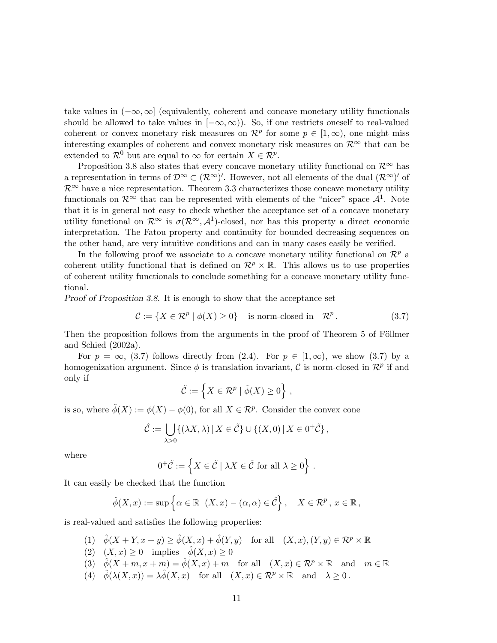take values in  $(-\infty, \infty]$  (equivalently, coherent and concave monetary utility functionals should be allowed to take values in  $[-\infty,\infty)$ . So, if one restricts oneself to real-valued coherent or convex monetary risk measures on  $\mathcal{R}^p$  for some  $p \in [1,\infty)$ , one might miss interesting examples of coherent and convex monetary risk measures on  $\mathcal{R}^{\infty}$  that can be extended to  $\mathcal{R}^0$  but are equal to  $\infty$  for certain  $X \in \mathcal{R}^p$ .

Proposition 3.8 also states that every concave monetary utility functional on  $\mathcal{R}^{\infty}$  has a representation in terms of  $\mathcal{D}^{\infty} \subset (\mathcal{R}^{\infty})'$ . However, not all elements of the dual  $(\mathcal{R}^{\infty})'$  of  $\mathcal{R}^{\infty}$  have a nice representation. Theorem 3.3 characterizes those concave monetary utility functionals on  $\mathcal{R}^{\infty}$  that can be represented with elements of the "nicer" space  $\mathcal{A}^1$ . Note that it is in general not easy to check whether the acceptance set of a concave monetary utility functional on  $\mathcal{R}^{\infty}$  is  $\sigma(\mathcal{R}^{\infty}, \mathcal{A}^1)$ -closed, nor has this property a direct economic interpretation. The Fatou property and continuity for bounded decreasing sequences on the other hand, are very intuitive conditions and can in many cases easily be verified.

In the following proof we associate to a concave monetary utility functional on  $\mathcal{R}^p$  a coherent utility functional that is defined on  $\mathcal{R}^p \times \mathbb{R}$ . This allows us to use properties of coherent utility functionals to conclude something for a concave monetary utility functional.

Proof of Proposition 3.8. It is enough to show that the acceptance set

$$
\mathcal{C} := \{ X \in \mathcal{R}^p \mid \phi(X) \ge 0 \} \quad \text{is norm-closed in} \quad \mathcal{R}^p. \tag{3.7}
$$

Then the proposition follows from the arguments in the proof of Theorem 5 of Föllmer and Schied (2002a).

For  $p = \infty$ , (3.7) follows directly from (2.4). For  $p \in [1,\infty)$ , we show (3.7) by a homogenization argument. Since  $\phi$  is translation invariant, C is norm-closed in  $\mathcal{R}^p$  if and only if o

$$
\tilde{\mathcal{C}} := \left\{ X \in \mathcal{R}^p \mid \tilde{\phi}(X) \ge 0 \right\},\
$$

is so, where  $\tilde{\phi}(X) := \phi(X) - \phi(0)$ , for all  $X \in \mathcal{R}^p$ . Consider the convex cone

$$
\hat{\mathcal{C}} := \bigcup_{\lambda > 0} \{ (\lambda X, \lambda) \, | \, X \in \tilde{\mathcal{C}} \} \cup \{ (X, 0) \, | \, X \in 0^+ \tilde{\mathcal{C}} \},
$$

where

$$
0^+\tilde{\mathcal{C}} := \left\{ X \in \tilde{\mathcal{C}} \mid \lambda X \in \tilde{\mathcal{C}} \text{ for all } \lambda \ge 0 \right\}.
$$

It can easily be checked that the function

$$
\hat{\phi}(X,x) := \sup \left\{ \alpha \in \mathbb{R} \, | \, (X,x) - (\alpha, \alpha) \in \hat{\mathcal{C}} \right\}, \quad X \in \mathcal{R}^p, \, x \in \mathbb{R},
$$

is real-valued and satisfies the following properties:

- (1)  $\hat{\phi}(X+Y,x+y) \ge \hat{\phi}(X,x) + \hat{\phi}(Y,y)$  for all  $(X,x), (Y,y) \in \mathcal{R}^p \times \mathbb{R}$
- (2)  $(X, x) \ge 0$  implies  $\hat{\phi}(X, x) \ge 0$
- (3)  $\phi(X+m, x+m) = \phi(X,x) + m$  for all  $(X,x) \in \mathcal{R}^p \times \mathbb{R}$  and  $m \in \mathbb{R}$
- (4)  $\hat{\phi}(\lambda(X, x)) = \lambda \hat{\phi}(X, x)$  for all  $(X, x) \in \mathcal{R}^p \times \mathbb{R}$  and  $\lambda \geq 0$ .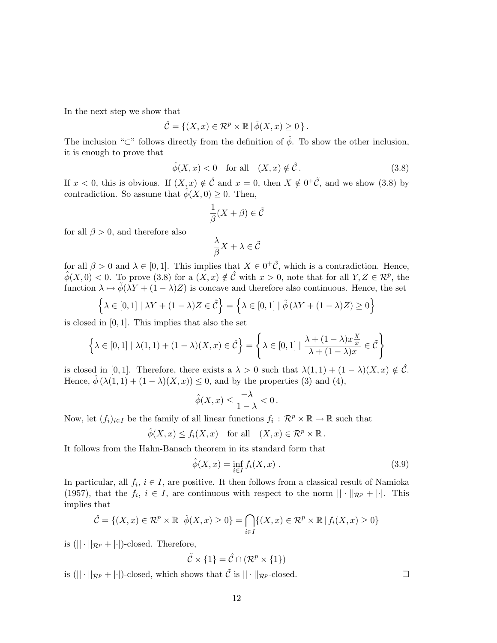In the next step we show that

$$
\hat{\mathcal{C}} = \{ (X, x) \in \mathcal{R}^p \times \mathbb{R} \mid \hat{\phi}(X, x) \ge 0 \}.
$$

The inclusion "⊂" follows directly from the definition of  $\hat{\phi}$ . To show the other inclusion, it is enough to prove that

$$
\hat{\phi}(X, x) < 0 \quad \text{for all} \quad (X, x) \notin \hat{\mathcal{C}}\,. \tag{3.8}
$$

If  $x < 0$ , this is obvious. If  $(X, x) \notin \hat{\mathcal{C}}$  and  $x = 0$ , then  $X \notin 0^+ \tilde{\mathcal{C}}$ , and we show  $(3.8)$  by contradiction. So assume that  $\hat{\phi}(X, 0) \geq 0$ . Then,

$$
\frac{1}{\beta}(X+\beta)\in\tilde{\mathcal{C}}
$$

for all  $\beta > 0$ , and therefore also

$$
\frac{\lambda}{\beta}X + \lambda \in \tilde{\mathcal{C}}
$$

for all  $\beta > 0$  and  $\lambda \in [0, 1]$ . This implies that  $X \in 0^+\tilde{C}$ , which is a contradiction. Hence,  $\hat{\phi}(X,0) < 0$ . To prove (3.8) for a  $(X,x) \notin \hat{\mathcal{C}}$  with  $x > 0$ , note that for all  $Y, Z \in \mathcal{R}^p$ , the function  $\lambda \mapsto \tilde{\phi}(\lambda Y + (1 - \lambda)Z)$  is concave and therefore also continuous. Hence, the set

$$
\left\{\lambda \in [0,1] \mid \lambda Y + (1-\lambda)Z \in \tilde{\mathcal{C}}\right\} = \left\{\lambda \in [0,1] \mid \tilde{\phi}\left(\lambda Y + (1-\lambda)Z\right) \ge 0\right\}
$$

is closed in [0, 1]. This implies that also the set

$$
\left\{\lambda \in [0,1] \mid \lambda(1,1) + (1-\lambda)(X,x) \in \hat{\mathcal{C}}\right\} = \left\{\lambda \in [0,1] \mid \frac{\lambda + (1-\lambda)x\frac{X}{x}}{\lambda + (1-\lambda)x} \in \tilde{\mathcal{C}}\right\}
$$

is closed in [0, 1]. Therefore, there exists a  $\lambda > 0$  such that  $\lambda(1,1) + (1 - \lambda)(X, x) \notin \hat{\mathcal{C}}$ . Hence,  $\hat{\phi}(\lambda(1,1) + (1-\lambda)(X,x)) \leq 0$ , and by the properties (3) and (4),

$$
\hat{\phi}(X,x) \le \frac{-\lambda}{1-\lambda} < 0 \, .
$$

Now, let  $(f_i)_{i\in I}$  be the family of all linear functions  $f_i: \mathcal{R}^p \times \mathbb{R} \to \mathbb{R}$  such that

$$
\hat{\phi}(X, x) \le f_i(X, x)
$$
 for all  $(X, x) \in \mathcal{R}^p \times \mathbb{R}$ .

It follows from the Hahn-Banach theorem in its standard form that

$$
\hat{\phi}(X,x) = \inf_{i \in I} f_i(X,x) . \tag{3.9}
$$

In particular, all  $f_i$ ,  $i \in I$ , are positive. It then follows from a classical result of Namioka (1957), that the  $f_i, i \in I$ , are continuous with respect to the norm  $|| \cdot ||_{\mathcal{R}^p} + ||$ . This implies that

$$
\hat{\mathcal{C}} = \{(X, x) \in \mathcal{R}^p \times \mathbb{R} \mid \hat{\phi}(X, x) \ge 0\} = \bigcap_{i \in I} \{(X, x) \in \mathcal{R}^p \times \mathbb{R} \mid f_i(X, x) \ge 0\}
$$

is  $(|| \cdot ||_{\mathcal{R}^p} + | \cdot ||)$ -closed. Therefore,

$$
\tilde{\mathcal{C}} \times \{1\} = \hat{\mathcal{C}} \cap (\mathcal{R}^p \times \{1\})
$$

is  $(|| \cdot ||_{\mathcal{R}^p} + | \cdot ||)$ -closed, which shows that  $\tilde{C}$  is  $|| \cdot ||_{\mathcal{R}^p}$ -closed.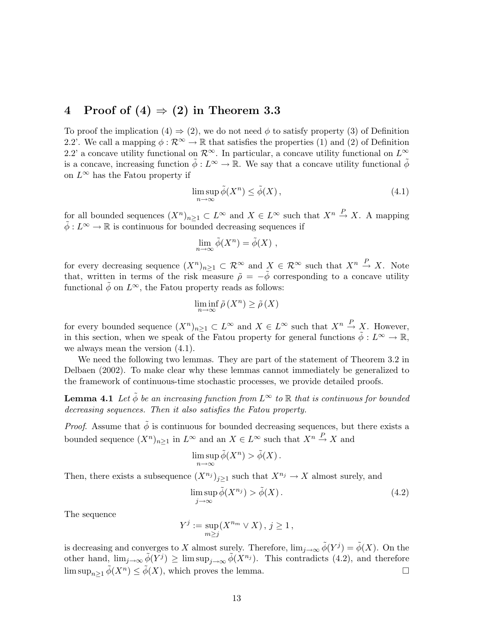## 4 Proof of  $(4) \Rightarrow (2)$  in Theorem 3.3

To proof the implication  $(4) \Rightarrow (2)$ , we do not need  $\phi$  to satisfy property  $(3)$  of Definition 2.2'. We call a mapping  $\phi : \mathcal{R}^{\infty} \to \mathbb{R}$  that satisfies the properties (1) and (2) of Definition 2.2' a concave utility functional on  $\mathcal{R}^{\infty}$ . In particular, a concave utility functional on  $L^{\infty}$ is a concave, increasing function  $\tilde{\phi}: L^{\infty} \to \mathbb{R}$ . We say that a concave utility functional  $\tilde{\phi}$ on  $L^{\infty}$  has the Fatou property if

$$
\limsup_{n \to \infty} \tilde{\phi}(X^n) \le \tilde{\phi}(X),\tag{4.1}
$$

for all bounded sequences  $(X^n)_{n\geq 1} \subset L^{\infty}$  and  $X \in L^{\infty}$  such that  $X^n \stackrel{P}{\to} X$ . A mapping  $\tilde{\phi}: L^{\infty} \to \mathbb{R}$  is continuous for bounded decreasing sequences if

$$
\lim_{n\to\infty}\tilde{\phi}(X^n)=\tilde{\phi}(X) ,
$$

for every decreasing sequence  $(X^n)_{n\geq 1} \subset \mathcal{R}^\infty$  and  $X \in \mathcal{R}^\infty$  such that  $X^n \stackrel{P}{\to} X$ . Note that, written in terms of the risk measure  $\tilde{\rho} = -\ddot{\phi}$  corresponding to a concave utility functional  $\phi$  on  $L^{\infty}$ , the Fatou property reads as follows:

$$
\liminf_{n\to\infty}\tilde{\rho}\left(X^n\right)\geq\tilde{\rho}\left(X\right)
$$

for every bounded sequence  $(X^n)_{n\geq 1} \subset L^{\infty}$  and  $X \in L^{\infty}$  such that  $X^n \stackrel{P}{\to} X$ . However, in this section, when we speak of the Fatou property for general functions  $\phi: L^{\infty} \to \mathbb{R}$ , we always mean the version (4.1).

We need the following two lemmas. They are part of the statement of Theorem 3.2 in Delbaen (2002). To make clear why these lemmas cannot immediately be generalized to the framework of continuous-time stochastic processes, we provide detailed proofs.

**Lemma 4.1** Let  $\tilde{\phi}$  be an increasing function from  $L^{\infty}$  to  $\mathbb{R}$  that is continuous for bounded decreasing sequences. Then it also satisfies the Fatou property.

*Proof.* Assume that  $\tilde{\phi}$  is continuous for bounded decreasing sequences, but there exists a bounded sequence  $(X^n)_{n\geq 1}$  in  $L^{\infty}$  and an  $X \in L^{\infty}$  such that  $X^n \stackrel{P}{\to} X$  and

$$
\limsup_{n\to\infty}\tilde{\phi}(X^n) > \tilde{\phi}(X).
$$

Then, there exists a subsequence  $(X^{n_j})_{j\geq 1}$  such that  $X^{n_j} \to X$  almost surely, and

$$
\limsup_{j \to \infty} \tilde{\phi}(X^{n_j}) > \tilde{\phi}(X). \tag{4.2}
$$

The sequence

$$
Y^j := \sup_{m \ge j} (X^{n_m} \vee X), \, j \ge 1,
$$

is decreasing and converges to X almost surely. Therefore,  $\lim_{j\to\infty} \tilde{\phi}(Y^j) = \tilde{\phi}(X)$ . On the other hand,  $\lim_{j\to\infty}\tilde{\phi}(Y^j) \geq \limsup_{j\to\infty}\tilde{\phi}(X^{n_j})$ . This contradicts (4.2), and therefore  $\limsup_{n\geq 1} \tilde{\phi}(X^n) \leq \tilde{\phi}(X)$ , which proves the lemma.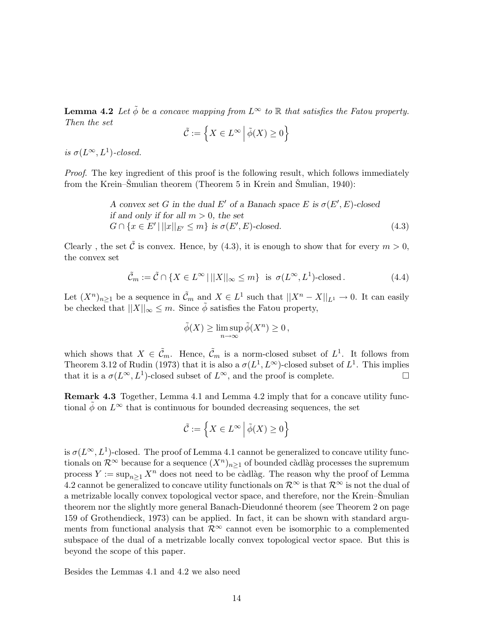**Lemma 4.2** Let  $\tilde{\phi}$  be a concave mapping from  $L^{\infty}$  to  $\mathbb{R}$  that satisfies the Fatou property. Then the set  $\overline{a}$ o

$$
\tilde{\mathcal{C}} := \left\{ X \in L^{\infty} \, \middle| \, \tilde{\phi}(X) \ge 0 \right\}
$$

is  $\sigma(L^{\infty}, L^{1})$ -closed.

Proof. The key ingredient of this proof is the following result, which follows immediately from the Krein–Smulian theorem (Theorem 5 in Krein and Smulian, 1940):

> A convex set G in the dual E' of a Banach space E is  $\sigma(E', E)$ -closed if and only if for all  $m > 0$ , the set  $G \cap \{x \in E' \mid ||x||_{E'} \leq m\}$  is  $\sigma(E', E)$ -closed. (4.3)

Clearly, the set  $\tilde{\mathcal{C}}$  is convex. Hence, by (4.3), it is enough to show that for every  $m > 0$ , the convex set

$$
\tilde{\mathcal{C}}_m := \tilde{\mathcal{C}} \cap \{ X \in L^{\infty} \mid ||X||_{\infty} \le m \} \text{ is } \sigma(L^{\infty}, L^{1}) \text{-closed}. \tag{4.4}
$$

Let  $(X^n)_{n\geq 1}$  be a sequence in  $\tilde{\mathcal{C}}_m$  and  $X \in L^1$  such that  $||X^n - X||_{L^1} \to 0$ . It can easily be checked that  $||X||_{\infty} \leq m$ . Since  $\tilde{\phi}$  satisfies the Fatou property,

$$
\tilde{\phi}(X) \ge \limsup_{n \to \infty} \tilde{\phi}(X^n) \ge 0,
$$

which shows that  $X \in \tilde{\mathcal{C}}_m$ . Hence,  $\tilde{\mathcal{C}}_m$  is a norm-closed subset of  $L^1$ . It follows from Theorem 3.12 of Rudin (1973) that it is also a  $\sigma(L^1, L^{\infty})$ -closed subset of  $L^1$ . This implies that it is a  $\sigma(L^{\infty}, L^{1})$ -closed subset of  $L^{\infty}$ , and the proof is complete.

Remark 4.3 Together, Lemma 4.1 and Lemma 4.2 imply that for a concave utility functional  $\phi$  on  $L^{\infty}$  that is continuous for bounded decreasing sequences, the set

$$
\tilde{\mathcal{C}} := \left\{ X \in L^{\infty} \, \Big| \, \tilde{\phi}(X) \ge 0 \right\}
$$

is  $\sigma(L^{\infty}, L^{1})$ -closed. The proof of Lemma 4.1 cannot be generalized to concave utility functionals on  $\mathcal{R}^{\infty}$  because for a sequence  $(X^n)_{n\geq 1}$  of bounded càdlàg processes the supremum process  $Y := \sup_{n>1} X^n$  does not need to be càdlàg. The reason why the proof of Lemma 4.2 cannot be generalized to concave utility functionals on  $\mathcal{R}^{\infty}$  is that  $\mathcal{R}^{\infty}$  is not the dual of a metrizable locally convex topological vector space, and therefore, nor the Krein–Smulian theorem nor the slightly more general Banach-Dieudonné theorem (see Theorem 2 on page 159 of Grothendieck, 1973) can be applied. In fact, it can be shown with standard arguments from functional analysis that  $\mathcal{R}^{\infty}$  cannot even be isomorphic to a complemented subspace of the dual of a metrizable locally convex topological vector space. But this is beyond the scope of this paper.

Besides the Lemmas 4.1 and 4.2 we also need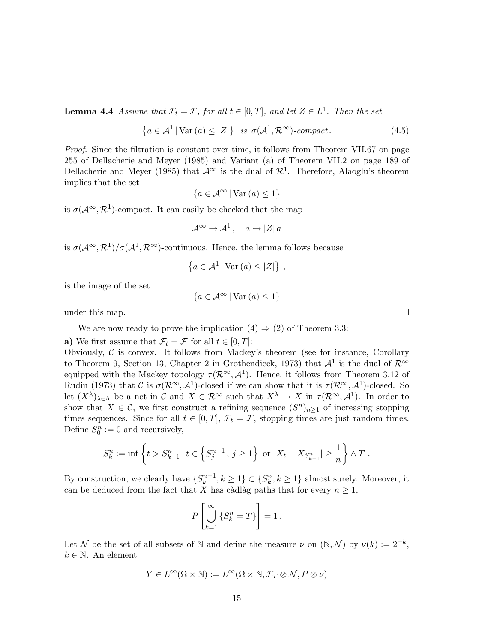**Lemma 4.4** Assume that  $\mathcal{F}_t = \mathcal{F}$ , for all  $t \in [0, T]$ , and let  $Z \in L^1$ . Then the set

$$
\left\{ a \in \mathcal{A}^1 \, | \, \text{Var}\left(a\right) \le |Z| \right\} \text{ is } \sigma(\mathcal{A}^1, \mathcal{R}^\infty)\text{-}compact. \tag{4.5}
$$

Proof. Since the filtration is constant over time, it follows from Theorem VII.67 on page 255 of Dellacherie and Meyer (1985) and Variant (a) of Theorem VII.2 on page 189 of Dellacherie and Meyer (1985) that  $\mathcal{A}^{\infty}$  is the dual of  $\mathcal{R}^{1}$ . Therefore, Alaoglu's theorem implies that the set

$$
\{a \in \mathcal{A}^{\infty} \,|\, \text{Var}\,(a) \le 1\}
$$

is  $\sigma(A^{\infty}, \mathcal{R}^{1})$ -compact. It can easily be checked that the map

$$
\mathcal{A}^{\infty} \to \mathcal{A}^{1}, \quad a \mapsto |Z| \, a
$$

is  $\sigma(A^{\infty}, \mathcal{R}^1)/\sigma(A^1, \mathcal{R}^{\infty})$ -continuous. Hence, the lemma follows because

$$
\left\{a \in \mathcal{A}^1 \, | \, \text{Var}\left(a\right) \leq |Z| \right\} \, ,
$$

is the image of the set

$$
\{a \in \mathcal{A}^{\infty} \, | \, \text{Var}\,(a) \le 1\}
$$

under this map.  $\Box$ 

We are now ready to prove the implication  $(4) \Rightarrow (2)$  of Theorem 3.3:

a) We first assume that  $\mathcal{F}_t = \mathcal{F}$  for all  $t \in [0, T]$ :

Obviously,  $C$  is convex. It follows from Mackey's theorem (see for instance, Corollary to Theorem 9, Section 13, Chapter 2 in Grothendieck, 1973) that  $\mathcal{A}^1$  is the dual of  $\mathcal{R}^{\infty}$ equipped with the Mackey topology  $\tau(\mathcal{R}^{\infty}, \mathcal{A}^{1})$ . Hence, it follows from Theorem 3.12 of Rudin (1973) that C is  $\sigma(\mathcal{R}^{\infty}, \mathcal{A}^1)$ -closed if we can show that it is  $\tau(\mathcal{R}^{\infty}, \mathcal{A}^1)$ -closed. So let  $(X^{\lambda})_{\lambda \in \Lambda}$  be a net in C and  $X \in \mathcal{R}^{\infty}$  such that  $X^{\lambda} \to X$  in  $\tau(\mathcal{R}^{\infty}, \mathcal{A}^{1})$ . In order to show that  $X \in \mathcal{C}$ , we first construct a refining sequence  $(S^n)_{n \geq 1}$  of increasing stopping times sequences. Since for all  $t \in [0, T]$ ,  $\mathcal{F}_t = \mathcal{F}$ , stopping times are just random times. Define  $S_0^n := 0$  and recursively,

$$
S_k^n := \inf \left\{ t > S_{k-1}^n \, \middle| \, t \in \left\{ S_j^{n-1} \, , \, j \ge 1 \right\} \, \text{ or } \, |X_t - X_{S_{k-1}^n}| \ge \frac{1}{n} \right\} \wedge T \; .
$$

By construction, we clearly have  $\{S_k^{n-1}\}$  $\{k^{n-1}, k \geq 1\} \subset \{S_k^n, k \geq 1\}$  almost surely. Moreover, it can be deduced from the fact that X has càdlàg paths that for every  $n \geq 1$ ,

$$
P\left[\bigcup_{k=1}^{\infty} \left\{ S_k^n = T \right\} \right] = 1.
$$

Let N be the set of all subsets of N and define the measure  $\nu$  on  $(N, \mathcal{N})$  by  $\nu(k) := 2^{-k}$ ,  $k \in \mathbb{N}$ . An element

$$
Y\in L^\infty(\Omega\times\mathbb{N}):=L^\infty(\Omega\times\mathbb{N},\mathcal{F}_T\otimes\mathcal{N},P\otimes\nu)
$$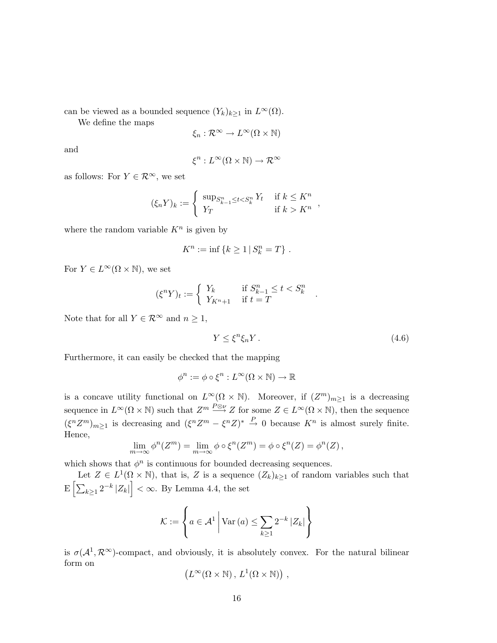can be viewed as a bounded sequence  $(Y_k)_{k>1}$  in  $L^{\infty}(\Omega)$ .

We define the maps

$$
\xi_n:\mathcal{R}^\infty\to L^\infty(\Omega\times\mathbb{N})
$$

and

$$
\xi^n: L^\infty(\Omega \times \mathbb{N}) \to \mathcal{R}^\infty
$$

as follows: For  $Y \in \mathcal{R}^{\infty}$ , we set

$$
(\xi_n Y)_k := \begin{cases} \sup_{T} \xi_{k-1} \leq t < S_k^n Y_t & \text{if } k \leq K^n \\ Y_T & \text{if } k > K^n \end{cases}
$$

where the random variable  $K<sup>n</sup>$  is given by

$$
K^n := \inf \{ k \ge 1 \, | \, S_k^n = T \} \; .
$$

For  $Y \in L^{\infty}(\Omega \times \mathbb{N})$ , we set

$$
(\xi^n Y)_t := \left\{ \begin{array}{ll} Y_k & \text{if } S_{k-1}^n \leq t < S_k^n \\ Y_{K^n+1} & \text{if } t = T \end{array} \right.
$$

Note that for all  $Y \in \mathcal{R}^{\infty}$  and  $n \geq 1$ ,

$$
Y \le \xi^n \xi_n Y. \tag{4.6}
$$

.

Furthermore, it can easily be checked that the mapping

$$
\phi^n := \phi \circ \xi^n : L^\infty(\Omega \times \mathbb{N}) \to \mathbb{R}
$$

is a concave utility functional on  $L^{\infty}(\Omega \times \mathbb{N})$ . Moreover, if  $(Z^m)_{m\geq 1}$  is a decreasing sequence in  $L^{\infty}(\Omega \times \mathbb{N})$  such that  $Z^m \stackrel{P \otimes \nu}{\longrightarrow} Z$  for some  $Z \in L^{\infty}(\Omega \times \mathbb{N})$ , then the sequence  $(\xi^n Z^m)_{m\geq 1}$  is decreasing and  $(\xi^n Z^m - \xi^n Z)^* \stackrel{P}{\rightarrow} 0$  because  $K^n$  is almost surely finite. Hence,

$$
\lim_{m \to \infty} \phi^n(Z^m) = \lim_{m \to \infty} \phi \circ \xi^n(Z^m) = \phi \circ \xi^n(Z) = \phi^n(Z),
$$

which shows that  $\phi^n$  is continuous for bounded decreasing sequences.

Let  $Z \in L^1(\Omega \times \mathbb{N})$ , that is, Z is a sequence  $(Z_k)_{k \geq 1}$  of random variables such that E  $\frac{L}{L}$  $\left| \sum_{k\geq 1} 2^{-k} |Z_k| \right| < \infty$ . By Lemma 4.4, the set

$$
\mathcal{K} := \left\{ a \in \mathcal{A}^1 \, \middle| \, \text{Var}\left(a\right) \le \sum_{k \ge 1} 2^{-k} \left| Z_k \right| \right\}
$$

is  $\sigma(\mathcal{A}^1, \mathcal{R}^{\infty})$ -compact, and obviously, it is absolutely convex. For the natural bilinear form on ¡ ¢

$$
(L^{\infty}(\Omega \times \mathbb{N}), L^{1}(\Omega \times \mathbb{N})) ,
$$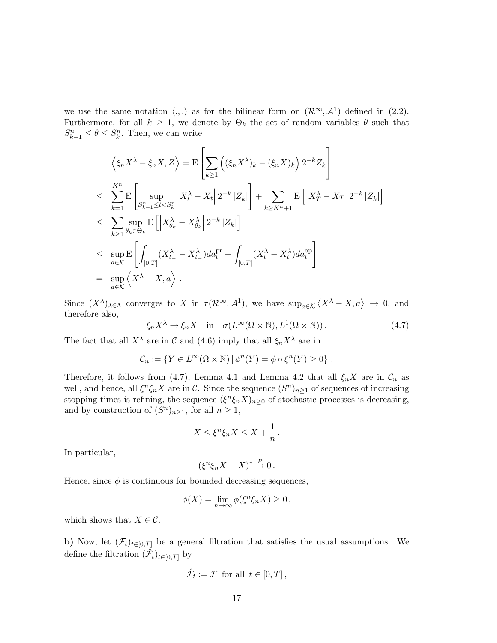we use the same notation  $\langle ., . \rangle$  as for the bilinear form on  $(\mathcal{R}^{\infty}, \mathcal{A}^1)$  defined in (2.2). Furthermore, for all  $k \geq 1$ , we denote by  $\Theta_k$  the set of random variables  $\theta$  such that  $S_{k-1}^n \leq \theta \leq S_k^n$ . Then, we can write

$$
\left\langle \xi_n X^{\lambda} - \xi_n X, Z \right\rangle = \mathcal{E} \left[ \sum_{k \ge 1} \left( (\xi_n X^{\lambda})_k - (\xi_n X)_k \right) 2^{-k} Z_k \right]
$$
  
\n
$$
\le \sum_{k=1}^{K^n} \mathcal{E} \left[ \sup_{S_{k-1}^n \le t < S_k^n} \left| X_t^{\lambda} - X_t \right| 2^{-k} |Z_k| \right] + \sum_{k \ge K^n + 1} \mathcal{E} \left[ \left| X_T^{\lambda} - X_T \right| 2^{-k} |Z_k| \right]
$$
  
\n
$$
\le \sum_{k \ge 1} \sup_{\theta_k \in \Theta_k} \mathcal{E} \left[ \left| X_{\theta_k}^{\lambda} - X_{\theta_k}^{\lambda} \right| 2^{-k} |Z_k| \right]
$$
  
\n
$$
\le \sup_{a \in \mathcal{K}} \mathcal{E} \left[ \int_{]0,T]} (X_{t-}^{\lambda} - X_{t-}^{\lambda}) da_t^{pr} + \int_{[0,T]} (X_t^{\lambda} - X_t^{\lambda}) da_t^{op} \right]
$$
  
\n
$$
= \sup_{a \in \mathcal{K}} \left\langle X^{\lambda} - X, a \right\rangle .
$$

Since  $(X^{\lambda})_{\lambda \in \Lambda}$  converges to X in  $\tau(\mathcal{R}^{\infty}, \mathcal{A}^1)$ , we have  $\sup_{a \in \mathcal{K}} \langle X^{\lambda} - X, a \rangle \to 0$ , and therefore also,

$$
\xi_n X^{\lambda} \to \xi_n X \quad \text{in} \quad \sigma(L^{\infty}(\Omega \times \mathbb{N}), L^1(\Omega \times \mathbb{N})). \tag{4.7}
$$

The fact that all  $X^{\lambda}$  are in C and (4.6) imply that all  $\xi_n X^{\lambda}$  are in

$$
\mathcal{C}_n := \{ Y \in L^{\infty}(\Omega \times \mathbb{N}) \, | \, \phi^n(Y) = \phi \circ \xi^n(Y) \geq 0 \} .
$$

Therefore, it follows from (4.7), Lemma 4.1 and Lemma 4.2 that all  $\xi_n X$  are in  $\mathcal{C}_n$  as well, and hence, all  $\xi^n \xi_n X$  are in C. Since the sequence  $(S^n)_{n\geq 1}$  of sequences of increasing stopping times is refining, the sequence  $(\xi^n \xi_n X)_{n\geq 0}$  of stochastic processes is decreasing, and by construction of  $(S^n)_{n\geq 1}$ , for all  $n \geq 1$ ,

$$
X \le \xi^n \xi_n X \le X + \frac{1}{n} \, .
$$

In particular,

$$
(\xi^n \xi_n X - X)^* \stackrel{P}{\to} 0.
$$

Hence, since  $\phi$  is continuous for bounded decreasing sequences,

$$
\phi(X) = \lim_{n \to \infty} \phi(\xi^n \xi_n X) \ge 0,
$$

which shows that  $X \in \mathcal{C}$ .

b) Now, let  $(\mathcal{F}_t)_{t\in[0,T]}$  be a general filtration that satisfies the usual assumptions. We define the filtration  $(\hat{\mathcal{F}}_t)_{t \in [0,T]}$  by

$$
\hat{\mathcal{F}}_t := \mathcal{F} \text{ for all } t \in [0, T],
$$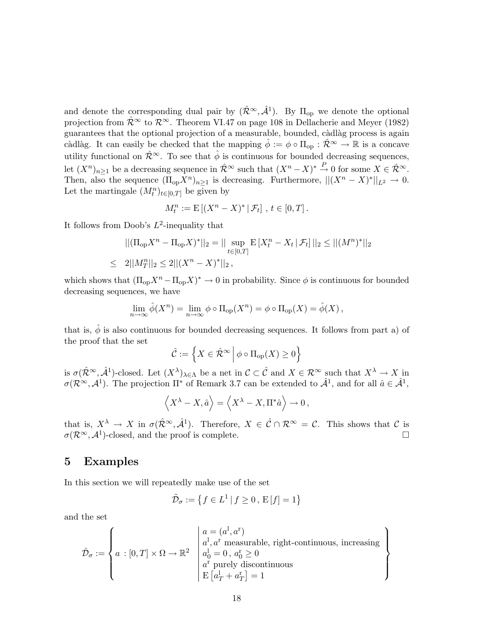and denote the corresponding dual pair by  $(\hat{\mathcal{R}}^{\infty}, \hat{\mathcal{A}}^1)$ . By  $\Pi_{op}$  we denote the optional projection from  $\hat{\mathcal{R}}^{\infty}$  to  $\mathcal{R}^{\infty}$ . Theorem VI.47 on page 108 in Dellacherie and Meyer (1982) guarantees that the optional projection of a measurable, bounded, càdlàg process is again càdlàg. It can easily be checked that the mapping  $\hat{\phi} := \phi \circ \Pi_{op} : \hat{\mathcal{R}}^{\infty} \to \mathbb{R}$  is a concave utility functional on  $\hat{\mathcal{R}}^{\infty}$ . To see that  $\hat{\phi}$  is continuous for bounded decreasing sequences, let  $(X^n)_{n\geq 1}$  be a decreasing sequence in  $\hat{\mathcal{R}}^{\infty}$  such that  $(X^n - X)^* \stackrel{P}{\rightarrow} 0$  for some  $X \in \hat{\mathcal{R}}^{\infty}$ . Then, also the sequence  $(\Pi_{op} X^n)_{n\geq 1}$  is decreasing. Furthermore,  $||(X^n - X)^*||_{L^2} \to 0$ . Let the martingale  $(M_t^n)_{t \in [0,T]}$  be given by

$$
M_t^n := \mathrm{E} \left[ (X^n - X)^* \, | \, \mathcal{F}_t \right], \, t \in [0, T] \, .
$$

It follows from Doob's  $L^2$ -inequality that

$$
||(\Pi_{\text{op}} X^n - \Pi_{\text{op}} X)^*||_2 = || \sup_{t \in [0,T]} \mathbb{E} [X_t^n - X_t | \mathcal{F}_t] ||_2 \le ||(M^n)^*||_2
$$
  
\n
$$
\le 2||M_T^n||_2 \le 2||(X^n - X)^*||_2,
$$

which shows that  $(\Pi_{op} X^n - \Pi_{op} X)^* \to 0$  in probability. Since  $\phi$  is continuous for bounded decreasing sequences, we have

$$
\lim_{n \to \infty} \hat{\phi}(X^n) = \lim_{n \to \infty} \phi \circ \Pi_{\text{op}}(X^n) = \phi \circ \Pi_{\text{op}}(X) = \hat{\phi}(X),
$$

that is,  $\hat{\phi}$  is also continuous for bounded decreasing sequences. It follows from part a) of the proof that the set  $\overline{a}$ o

$$
\hat{\mathcal{C}} := \left\{ X \in \hat{\mathcal{R}}^{\infty} \, \middle| \, \phi \circ \Pi_{\text{op}}(X) \ge 0 \right\}
$$

is  $\sigma(\hat{\mathcal{R}}^{\infty}, \hat{\mathcal{A}}^1)$ -closed. Let  $(X^{\lambda})_{\lambda \in \Lambda}$  be a net in  $\mathcal{C} \subset \hat{\mathcal{C}}$  and  $X \in \mathcal{R}^{\infty}$  such that  $X^{\lambda} \to X$  in  $\sigma(\mathcal{R}^{\infty}, \mathcal{A}^{1})$ . The projection  $\Pi^*$  of Remark 3.7 can be extended to  $\hat{\mathcal{A}}^{1}$ , and for all  $\hat{a} \in \hat{\mathcal{A}}^{1}$ ,

$$
\langle X^{\lambda} - X, \hat{a} \rangle = \langle X^{\lambda} - X, \Pi^* \hat{a} \rangle \to 0,
$$

that is,  $X^{\lambda} \to X$  in  $\sigma(\hat{\mathcal{R}}^{\infty}, \hat{\mathcal{A}}^{1})$ . Therefore,  $X \in \hat{\mathcal{C}} \cap \mathcal{R}^{\infty} = \mathcal{C}$ . This shows that  $\mathcal{C}$  is  $\sigma(\mathcal{R}^{\infty}, \mathcal{A}^{1})$ -closed, and the proof is complete.

#### 5 Examples

In this section we will repeatedly make use of the set

$$
\tilde{\mathcal{D}}_{\sigma} := \left\{ f \in L^1 \, | \, f \ge 0, \, \mathcal{E}[f] = 1 \right\}
$$

and the set

$$
\hat{\mathcal{D}}_{\sigma}:=\left\{a\,:\,[0,T]\times\Omega\rightarrow\mathbb{R}^2\;\;\left|\begin{array}{l}a=(a^{\rm l},a^{\rm r})\\a^{\rm l},a^{\rm r}\text{ measurable, right-continuous, increasing}\\\hline a^{\rm l}_0=0\,,\,a^{\rm r}_0\geq0\\\hline a^{\rm r}\text{ purely discontinuous}\\\hline\operatorname{E}\left[a^{\rm l}_T+a^{\rm r}_T\right]=1\end{array}\right.\right\}
$$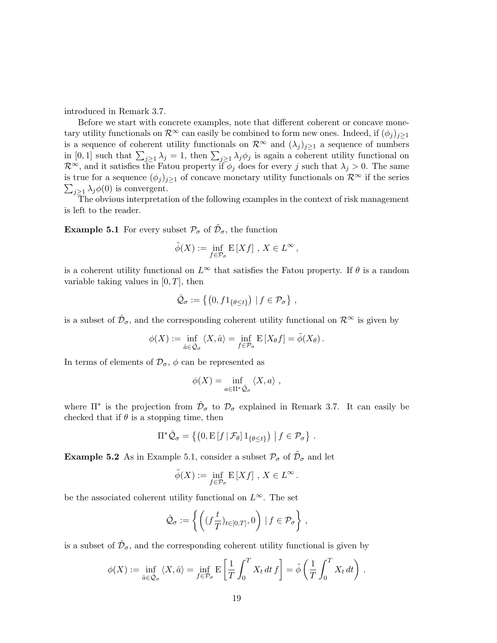introduced in Remark 3.7.

Before we start with concrete examples, note that different coherent or concave monetary utility functionals on  $\mathcal{R}^{\infty}$  can easily be combined to form new ones. Indeed, if  $(\phi_i)_{i\geq 1}$ is a sequence of coherent utility functionals on  $\mathcal{R}^{\infty}$  and  $(\lambda_j)_{j\geq 1}$  a sequence of numbers is a sequence or conerent utility functionals on  $\kappa$  and  $(\lambda_j j_j \geq 1$  a sequence or numbers<br>in [0, 1] such that  $\sum_{j\geq 1} \lambda_j = 1$ , then  $\sum_{j\geq 1} \lambda_j \phi_j$  is again a coherent utility functional on  $\mathcal{R}^{\infty}$ , and it satisfies the Fatou property if  $\phi_j$  does for every j such that  $\lambda_j > 0$ . The same is true for a sequence  $(\phi_j)_{j\geq 1}$  of concave monetary utility functionals on  $\mathcal{R}^{\infty}$  if the series  $j\geq 1$   $\lambda_j\phi(0)$  is convergent.

The obvious interpretation of the following examples in the context of risk management is left to the reader.

**Example 5.1** For every subset  $\mathcal{P}_{\sigma}$  of  $\tilde{\mathcal{D}}_{\sigma}$ , the function

$$
\tilde{\phi}(X) := \inf_{f \in \mathcal{P}_{\sigma}} \mathbb{E}[Xf], \, X \in L^{\infty},
$$

is a coherent utility functional on  $L^{\infty}$  that satisfies the Fatou property. If  $\theta$  is a random variable taking values in  $[0, T]$ , then

$$
\hat{\mathcal{Q}}_{\sigma} := \left\{ \left( 0, f 1_{\{\theta \le t\}} \right) \mid f \in \mathcal{P}_{\sigma} \right\},\
$$

is a subset of  $\hat{\mathcal{D}}_{\sigma}$ , and the corresponding coherent utility functional on  $\mathcal{R}^{\infty}$  is given by

$$
\phi(X) := \inf_{\hat{a} \in \hat{\mathcal{Q}}_{\sigma}} \langle X, \hat{a} \rangle = \inf_{f \in \mathcal{P}_{\sigma}} \mathrm{E} \left[ X_{\theta} f \right] = \tilde{\phi}(X_{\theta}).
$$

In terms of elements of  $\mathcal{D}_{\sigma}$ ,  $\phi$  can be represented as

$$
\phi(X) = \inf_{a \in \Pi^* \hat{\mathcal{Q}}_{\sigma}} \langle X, a \rangle ,
$$

where  $\Pi^*$  is the projection from  $\hat{\mathcal{D}}_{\sigma}$  to  $\mathcal{D}_{\sigma}$  explained in Remark 3.7. It can easily be checked that if  $\theta$  is a stopping time, then

$$
\Pi^* \hat{\mathcal{Q}}_\sigma = \left\{ \left( 0, \mathrm{E} \left[ f \, \middle| \, \mathcal{F}_\theta \right] \mathbb{1}_{\{\theta \leq t\}} \right) \, \middle| \, f \in \mathcal{P}_\sigma \right\} \, .
$$

**Example 5.2** As in Example 5.1, consider a subset  $\mathcal{P}_{\sigma}$  of  $\tilde{\mathcal{D}}_{\sigma}$  and let

$$
\tilde{\phi}(X) := \inf_{f \in \mathcal{P}_{\sigma}} \mathbb{E}[Xf], \, X \in L^{\infty}.
$$

be the associated coherent utility functional on  $L^{\infty}$ . The set

$$
\hat{\mathcal{Q}}_{\sigma} := \left\{ \left( (f \frac{t}{T})_{t \in [0,T]}, 0 \right) \, | \, f \in \mathcal{P}_{\sigma} \right\}
$$

,

is a subset of  $\hat{\mathcal{D}}_{\sigma}$ , and the corresponding coherent utility functional is given by

$$
\phi(X) := \inf_{\hat{a} \in \hat{\mathcal{Q}}_{\sigma}} \langle X, \hat{a} \rangle = \inf_{f \in \mathcal{P}_{\sigma}} \mathbb{E} \left[ \frac{1}{T} \int_0^T X_t dt f \right] = \tilde{\phi} \left( \frac{1}{T} \int_0^T X_t dt \right).
$$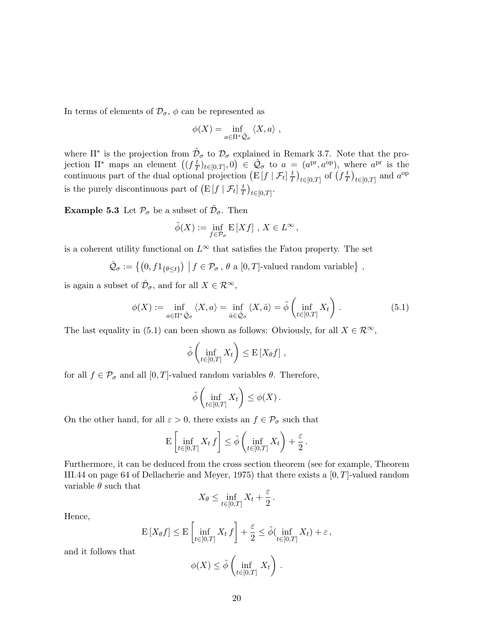In terms of elements of  $\mathcal{D}_{\sigma}$ ,  $\phi$  can be represented as

$$
\phi(X) = \inf_{a \in \Pi^* \hat{\mathcal{Q}}_{\sigma}} \langle X, a \rangle ,
$$

where  $\Pi^*$  is the projection from  $\hat{\mathcal{D}}_{\sigma}$  to  $\mathcal{D}_{\sigma}$  explained in Remark 3.7. Note that the prowhere it is the projection from  $\nu$ <br>jection  $\Pi^*$  maps an element  $((f\frac{t}{7})^2)$  $\frac{t}{T})_{t\in[0,T]},0$ where II is the projection from  $D_{\sigma}$  to  $D_{\sigma}$  explained in Remark 3.7. Note that the projection  $\Pi^*$  maps an element  $((f^t_{\overline{T}})_{t\in[0,T]}, 0) \in \hat{Q}_{\sigma}$  to  $a = (a^{\text{pr}}, a^{\text{op}})$ , where  $a^{\text{pr}}$  is the continuous par  $\overline{T}$ ¢  $\frac{(a^{F^*}, a^{F^*})}{(a^{F^*})^2}$  of  $\left(f\frac{t}{T}\right)$  $\overline{T}$  $\frac{11}{2}$  $_{t\in[0,T]}$  and  $a^{op}$ is the purely discontinuous part of  $(E[f | \mathcal{F}_t]]_T^T$  $(\frac{t}{T})_{t\in[0,T]}.$ ¢

**Example 5.3** Let  $\mathcal{P}_{\sigma}$  be a subset of  $\tilde{\mathcal{D}}_{\sigma}$ . Then

$$
\tilde{\phi}(X) := \inf_{f \in \mathcal{P}_{\sigma}} \mathbb{E}[Xf], \, X \in L^{\infty},
$$

is a coherent utility functional on  $L^{\infty}$  that satisfies the Fatou property. The set

$$
\hat{\mathcal{Q}}_{\sigma} := \left\{ \left( 0, f 1_{\{\theta \le t\}} \right) \middle| f \in \mathcal{P}_{\sigma}, \theta \text{ a } [0, T] \text{-valued random variable} \right\},\
$$

is again a subset of  $\hat{\mathcal{D}}_{\sigma}$ , and for all  $X \in \mathcal{R}^{\infty}$ ,

$$
\phi(X) := \inf_{a \in \Pi^* \hat{\mathcal{Q}}_{\sigma}} \langle X, a \rangle = \inf_{\hat{a} \in \hat{\mathcal{Q}}_{\sigma}} \langle X, \hat{a} \rangle = \tilde{\phi} \left( \inf_{t \in [0, T]} X_t \right). \tag{5.1}
$$

 $\overline{a}$ 

 $\mathbf{r}$ 

The last equality in (5.1) can been shown as follows: Obviously, for all  $X \in \mathcal{R}^{\infty}$ ,

$$
\tilde{\phi}\left(\inf_{t\in[0,T]} X_t\right) \leq \mathbb{E}\left[X_{\theta}f\right],
$$

for all  $f \in \mathcal{P}_{\sigma}$  and all  $[0, T]$ -valued random variables  $\theta$ . Therefore,

$$
\tilde{\phi}\left(\inf_{t\in[0,T]}X_t\right)\leq\phi(X)\,.
$$

On the other hand, for all  $\varepsilon > 0$ , there exists an  $f \in \mathcal{P}_{\sigma}$  such that

$$
\mathrm{E}\left[\inf_{t\in[0,T]}X_t f\right] \leq \tilde{\phi}\left(\inf_{t\in[0,T]}X_t\right) + \frac{\varepsilon}{2}.
$$

Furthermore, it can be deduced from the cross section theorem (see for example, Theorem III.44 on page 64 of Dellacherie and Meyer, 1975) that there exists a [0, T]-valued random variable  $\theta$  such that

$$
X_{\theta} \le \inf_{t \in [0,T]} X_t + \frac{\varepsilon}{2}.
$$

Hence,

$$
\mathcal{E}\left[X_{\theta}f\right] \leq \mathcal{E}\left[\inf_{t \in [0,T]} X_t f\right] + \frac{\varepsilon}{2} \leq \tilde{\phi}(\inf_{t \in [0,T]} X_t) + \varepsilon,
$$

and it follows that

$$
\phi(X) \le \tilde{\phi}\left(\inf_{t \in [0,T]} X_t\right).
$$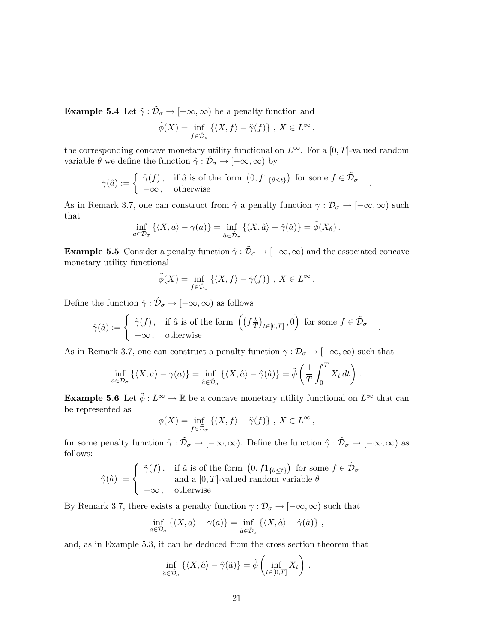**Example 5.4** Let  $\tilde{\gamma}$  :  $\tilde{\mathcal{D}}_{\sigma} \to [-\infty, \infty)$  be a penalty function and

$$
\tilde{\phi}(X) = \inf_{f \in \tilde{\mathcal{D}}_{\sigma}} \left\{ \langle X, f \rangle - \tilde{\gamma}(f) \right\}, X \in L^{\infty},
$$

the corresponding concave monetary utility functional on  $L^{\infty}$ . For a [0, T]-valued random variable  $\theta$  we define the function  $\hat{\gamma} : \hat{\mathcal{D}}_{\sigma} \to [-\infty, \infty)$  by

$$
\hat{\gamma}(\hat{a}) := \begin{cases} \tilde{\gamma}(f), & \text{if } \hat{a} \text{ is of the form } \left(0, f1_{\{\theta \le t\}}\right) \text{ for some } f \in \tilde{\mathcal{D}}_{\sigma} \\ -\infty, & \text{otherwise} \end{cases}.
$$

As in Remark 3.7, one can construct from  $\hat{\gamma}$  a penalty function  $\gamma : \mathcal{D}_{\sigma} \to [-\infty, \infty)$  such that

$$
\inf_{a \in \mathcal{D}_{\sigma}} \left\{ \langle X, a \rangle - \gamma(a) \right\} = \inf_{\hat{a} \in \hat{\mathcal{D}}_{\sigma}} \left\{ \langle X, \hat{a} \rangle - \hat{\gamma}(\hat{a}) \right\} = \tilde{\phi}(X_{\theta}).
$$

**Example 5.5** Consider a penalty function  $\tilde{\gamma}$  :  $\tilde{\mathcal{D}}_{\sigma} \to [-\infty, \infty)$  and the associated concave monetary utility functional

$$
\tilde{\phi}(X) = \inf_{f \in \tilde{\mathcal{D}}_{\sigma}} \left\{ \langle X, f \rangle - \tilde{\gamma}(f) \right\}, X \in L^{\infty}.
$$

Define the function  $\hat{\gamma} : \hat{\mathcal{D}}_{\sigma} \to [-\infty, \infty)$  as follows

$$
\hat{\gamma}(\hat{a}) := \begin{cases} \tilde{\gamma}(f), & \text{if } \hat{a} \text{ is of the form } \left( \left( f \frac{t}{T} \right)_{t \in [0,T]}, 0 \right) \text{ for some } f \in \tilde{\mathcal{D}}_{\sigma} \\ -\infty, & \text{otherwise} \end{cases}
$$

.

.

As in Remark 3.7, one can construct a penalty function  $\gamma : \mathcal{D}_{\sigma} \to [-\infty, \infty)$  such that

$$
\inf_{a \in \mathcal{D}_{\sigma}} \left\{ \langle X, a \rangle - \gamma(a) \right\} = \inf_{\hat{a} \in \hat{\mathcal{D}}_{\sigma}} \left\{ \langle X, \hat{a} \rangle - \hat{\gamma}(\hat{a}) \right\} = \tilde{\phi} \left( \frac{1}{T} \int_0^T X_t dt \right).
$$

**Example 5.6** Let  $\tilde{\phi}: L^{\infty} \to \mathbb{R}$  be a concave monetary utility functional on  $L^{\infty}$  that can be represented as

$$
\tilde{\phi}(X) = \inf_{f \in \tilde{\mathcal{D}}_{\sigma}} \left\{ \langle X, f \rangle - \tilde{\gamma}(f) \right\}, X \in L^{\infty},
$$

for some penalty function  $\tilde{\gamma} : \tilde{\mathcal{D}}_{\sigma} \to [-\infty, \infty)$ . Define the function  $\hat{\gamma} : \hat{\mathcal{D}}_{\sigma} \to [-\infty, \infty)$  as follows:  $\overline{a}$ ¢

$$
\hat{\gamma}(\hat{a}) := \left\{ \begin{array}{ll} \tilde{\gamma}(f)\,, & \text{if } \hat{a} \text{ is of the form } \left(0,f1_{\{\theta \leq t\}}\right) \text{ for some } f \in \tilde{\mathcal{D}}_{\sigma} \\ & \text{and a } [0,T]\text{-valued random variable } \theta \\ -\infty\,, & \text{otherwise} \end{array} \right.
$$

By Remark 3.7, there exists a penalty function  $\gamma : \mathcal{D}_{\sigma} \to [-\infty, \infty)$  such that

$$
\inf_{a \in \mathcal{D}_{\sigma}} \left\{ \langle X, a \rangle - \gamma(a) \right\} = \inf_{\hat{a} \in \hat{\mathcal{D}}_{\sigma}} \left\{ \langle X, \hat{a} \rangle - \hat{\gamma}(\hat{a}) \right\},
$$

and, as in Example 5.3, it can be deduced from the cross section theorem that

$$
\inf_{\hat{a}\in\hat{\mathcal{D}}_{\sigma}} \left\{ \langle X, \hat{a} \rangle - \hat{\gamma}(\hat{a}) \right\} = \tilde{\phi} \left( \inf_{t \in [0,T]} X_t \right).
$$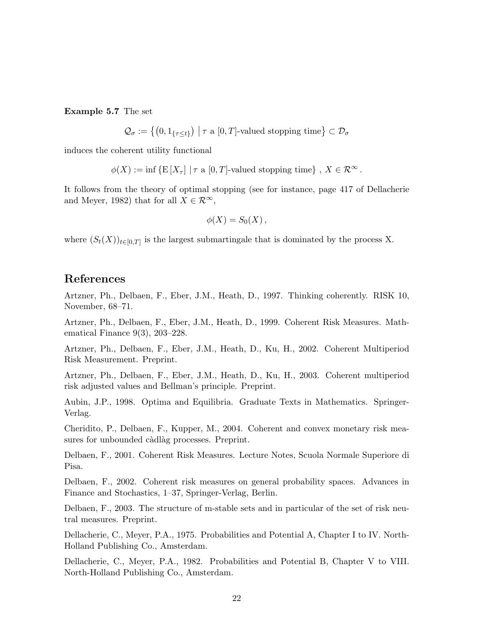Example 5.7 The set

$$
\mathcal{Q}_{\sigma} := \left\{ \left(0, 1_{\{\tau \le t\}}\right) \bigm| \tau \text{ a } [0, T] \text{-valued stopping time} \right\} \subset \mathcal{D}_{\sigma}
$$

induces the coherent utility functional

 $\phi(X) := \inf \{ \mathrm{E} [X_\tau] \mid \tau \in [0,T] \text{-valued stopping time} \}, X \in \mathcal{R}^\infty.$ 

It follows from the theory of optimal stopping (see for instance, page 417 of Dellacherie and Meyer, 1982) that for all  $X \in \mathcal{R}^{\infty}$ ,

$$
\phi(X) = S_0(X),
$$

where  $(S_t(X))_{t\in[0,T]}$  is the largest submartingale that is dominated by the process X.

### References

Artzner, Ph., Delbaen, F., Eber, J.M., Heath, D., 1997. Thinking coherently. RISK 10, November, 68–71.

Artzner, Ph., Delbaen, F., Eber, J.M., Heath, D., 1999. Coherent Risk Measures. Mathematical Finance  $9(3)$ ,  $203-228$ .

Artzner, Ph., Delbaen, F., Eber, J.M., Heath, D., Ku, H., 2002. Coherent Multiperiod Risk Measurement. Preprint.

Artzner, Ph., Delbaen, F., Eber, J.M., Heath, D., Ku, H., 2003. Coherent multiperiod risk adjusted values and Bellman's principle. Preprint.

Aubin, J.P., 1998. Optima and Equilibria. Graduate Texts in Mathematics. Springer-Verlag.

Cheridito, P., Delbaen, F., Kupper, M., 2004. Coherent and convex monetary risk measures for unbounded càdlàg processes. Preprint.

Delbaen, F., 2001. Coherent Risk Measures. Lecture Notes, Scuola Normale Superiore di Pisa.

Delbaen, F., 2002. Coherent risk measures on general probability spaces. Advances in Finance and Stochastics, 1–37, Springer-Verlag, Berlin.

Delbaen, F., 2003. The structure of m-stable sets and in particular of the set of risk neutral measures. Preprint.

Dellacherie, C., Meyer, P.A., 1975. Probabilities and Potential A, Chapter I to IV. North-Holland Publishing Co., Amsterdam.

Dellacherie, C., Meyer, P.A., 1982. Probabilities and Potential B, Chapter V to VIII. North-Holland Publishing Co., Amsterdam.